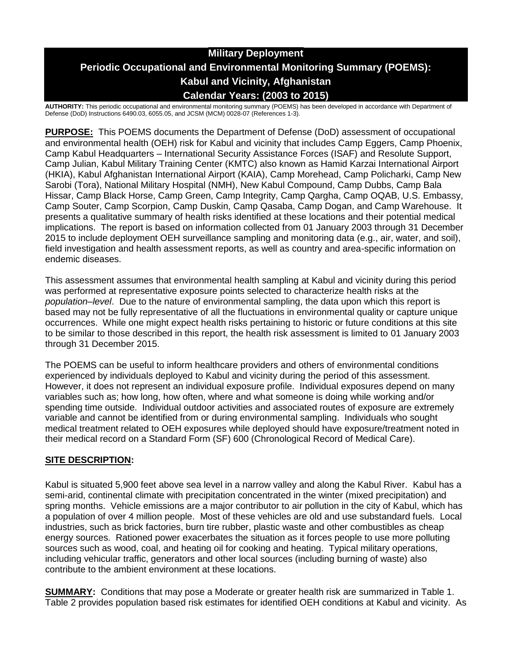# **Military Deployment Periodic Occupational and Environmental Monitoring Summary (POEMS): Kabul and Vicinity, Afghanistan Calendar Years: (2003 to 2015)**

**AUTHORITY:** This periodic occupational and environmental monitoring summary (POEMS) has been developed in accordance with Department of Defense (DoD) Instructions 6490.03, 6055.05, and JCSM (MCM) 0028-07 (References 1-3).

**PURPOSE:** This POEMS documents the Department of Defense (DoD) assessment of occupational and environmental health (OEH) risk for Kabul and vicinity that includes Camp Eggers, Camp Phoenix, Camp Kabul Headquarters – International Security Assistance Forces (ISAF) and Resolute Support, Camp Julian, Kabul Military Training Center (KMTC) also known as Hamid Karzai International Airport (HKIA), Kabul Afghanistan International Airport (KAIA), Camp Morehead, Camp Policharki, Camp New Sarobi (Tora), National Military Hospital (NMH), New Kabul Compound, Camp Dubbs, Camp Bala Hissar, Camp Black Horse, Camp Green, Camp Integrity, Camp Qargha, Camp OQAB, U.S. Embassy, Camp Souter, Camp Scorpion, Camp Duskin, Camp Qasaba, Camp Dogan, and Camp Warehouse. It presents a qualitative summary of health risks identified at these locations and their potential medical implications. The report is based on information collected from 01 January 2003 through 31 December 2015 to include deployment OEH surveillance sampling and monitoring data (e.g., air, water, and soil), field investigation and health assessment reports, as well as country and area-specific information on endemic diseases.

This assessment assumes that environmental health sampling at Kabul and vicinity during this period was performed at representative exposure points selected to characterize health risks at the *population–level*. Due to the nature of environmental sampling, the data upon which this report is based may not be fully representative of all the fluctuations in environmental quality or capture unique occurrences. While one might expect health risks pertaining to historic or future conditions at this site to be similar to those described in this report, the health risk assessment is limited to 01 January 2003 through 31 December 2015.

The POEMS can be useful to inform healthcare providers and others of environmental conditions experienced by individuals deployed to Kabul and vicinity during the period of this assessment. However, it does not represent an individual exposure profile. Individual exposures depend on many variables such as; how long, how often, where and what someone is doing while working and/or spending time outside. Individual outdoor activities and associated routes of exposure are extremely variable and cannot be identified from or during environmental sampling. Individuals who sought medical treatment related to OEH exposures while deployed should have exposure/treatment noted in their medical record on a Standard Form (SF) 600 (Chronological Record of Medical Care).

## **SITE DESCRIPTION:**

Kabul is situated 5,900 feet above sea level in a narrow valley and along the Kabul River. Kabul has a semi-arid, continental climate with precipitation concentrated in the winter (mixed precipitation) and spring months. Vehicle emissions are a major contributor to air pollution in the city of Kabul, which has a population of over 4 million people. Most of these vehicles are old and use substandard fuels. Local industries, such as brick factories, burn tire rubber, plastic waste and other combustibles as cheap energy sources. Rationed power exacerbates the situation as it forces people to use more polluting sources such as wood, coal, and heating oil for cooking and heating. Typical military operations, including vehicular traffic, generators and other local sources (including burning of waste) also contribute to the ambient environment at these locations.

**SUMMARY:** Conditions that may pose a Moderate or greater health risk are summarized in Table 1. Table 2 provides population based risk estimates for identified OEH conditions at Kabul and vicinity. As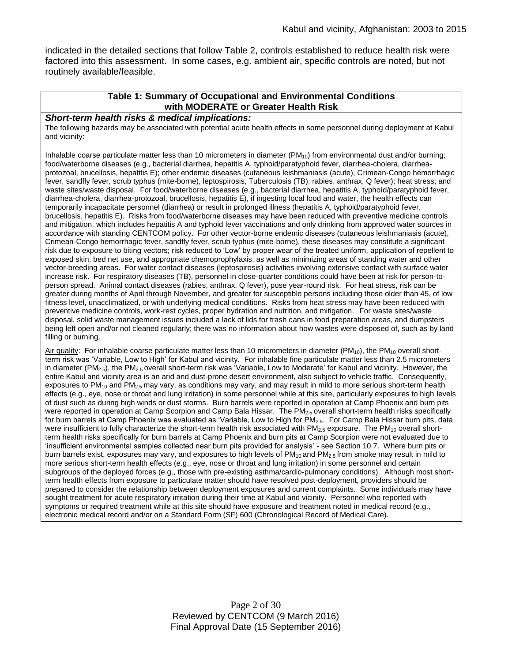indicated in the detailed sections that follow Table 2, controls established to reduce health risk were factored into this assessment. In some cases, e.g. ambient air, specific controls are noted, but not routinely available/feasible.

#### **Table 1: Summary of Occupational and Environmental Conditions with MODERATE or Greater Health Risk**

#### *Short-term health risks & medical implications:*

The following hazards may be associated with potential acute health effects in some personnel during deployment at Kabul and vicinity:

Inhalable coarse particulate matter less than 10 micrometers in diameter  $(PM_{10})$  from environmental dust and/or burning; food/waterborne diseases (e.g., bacterial diarrhea, hepatitis A, typhoid/paratyphoid fever, diarrhea-cholera, diarrheaprotozoal, brucellosis, hepatitis E); other endemic diseases (cutaneous leishmaniasis (acute), Crimean-Congo hemorrhagic fever, sandfly fever, scrub typhus (mite-borne), leptospirosis, Tuberculosis (TB), rabies, anthrax, Q fever); heat stress; and waste sites/waste disposal. For food/waterborne diseases (e.g., bacterial diarrhea, hepatitis A, typhoid/paratyphoid fever, diarrhea-cholera, diarrhea-protozoal, brucellosis, hepatitis E), if ingesting local food and water, the health effects can temporarily incapacitate personnel (diarrhea) or result in prolonged illness (hepatitis A, typhoid/paratyphoid fever, brucellosis, hepatitis E). Risks from food/waterborne diseases may have been reduced with preventive medicine controls and mitigation, which includes hepatitis A and typhoid fever vaccinations and only drinking from approved water sources in accordance with standing CENTCOM policy. For other vector-borne endemic diseases (cutaneous leishmaniasis (acute), Crimean-Congo hemorrhagic fever, sandfly fever, scrub typhus (mite-borne), these diseases may constitute a significant risk due to exposure to biting vectors; risk reduced to 'Low' by proper wear of the treated uniform, application of repellent to exposed skin, bed net use, and appropriate chemoprophylaxis, as well as minimizing areas of standing water and other vector-breeding areas. For water contact diseases (leptospirosis) activities involving extensive contact with surface water increase risk. For respiratory diseases (TB), personnel in close-quarter conditions could have been at risk for person-toperson spread. Animal contact diseases (rabies, anthrax, Q fever), pose year-round risk. For heat stress, risk can be greater during months of April through November, and greater for susceptible persons including those older than 45, of low fitness level, unacclimatized, or with underlying medical conditions. Risks from heat stress may have been reduced with preventive medicine controls, work-rest cycles, proper hydration and nutrition, and mitigation. For waste sites/waste disposal, solid waste management issues included a lack of lids for trash cans in food preparation areas, and dumpsters being left open and/or not cleaned regularly; there was no information about how wastes were disposed of, such as by land filling or burning.

Air quality: For inhalable coarse particulate matter less than 10 micrometers in diameter ( $PM_{10}$ ), the PM<sub>10</sub> overall shortterm risk was 'Variable, Low to High' for Kabul and vicinity. For inhalable fine particulate matter less than 2.5 micrometers in diameter (PM<sub>2.5</sub>), the PM<sub>2.5</sub> overall short-term risk was 'Variable, Low to Moderate' for Kabul and vicinity. However, the entire Kabul and vicinity area is an arid and dust-prone desert environment, also subject to vehicle traffic. Consequently, exposures to  $PM_{10}$  and  $PM_{2.5}$  may vary, as conditions may vary, and may result in mild to more serious short-term health effects (e.g., eye, nose or throat and lung irritation) in some personnel while at this site, particularly exposures to high levels of dust such as during high winds or dust storms. Burn barrels were reported in operation at Camp Phoenix and burn pits were reported in operation at Camp Scorpion and Camp Bala Hissar. The PM<sub>2.5</sub> overall short-term health risks specifically for burn barrels at Camp Phoenix was evaluated as 'Variable, Low to High for PM<sub>2.5</sub>. For Camp Bala Hissar burn pits, data were insufficient to fully characterize the short-term health risk associated with  $PM_{2.5}$  exposure. The PM<sub>10</sub> overall shortterm health risks specifically for burn barrels at Camp Phoenix and burn pits at Camp Scorpion were not evaluated due to 'insufficient environmental samples collected near burn pits provided for analysis' - see Section 10.7. Where burn pits or burn barrels exist, exposures may vary, and exposures to high levels of  $PM_{10}$  and  $PM_{2.5}$  from smoke may result in mild to more serious short-term health effects (e.g., eye, nose or throat and lung irritation) in some personnel and certain subgroups of the deployed forces (e.g., those with pre-existing asthma/cardio-pulmonary conditions). Although most shortterm health effects from exposure to particulate matter should have resolved post-deployment, providers should be prepared to consider the relationship between deployment exposures and current complaints. Some individuals may have sought treatment for acute respiratory irritation during their time at Kabul and vicinity. Personnel who reported with symptoms or required treatment while at this site should have exposure and treatment noted in medical record (e.g., electronic medical record and/or on a Standard Form (SF) 600 (Chronological Record of Medical Care).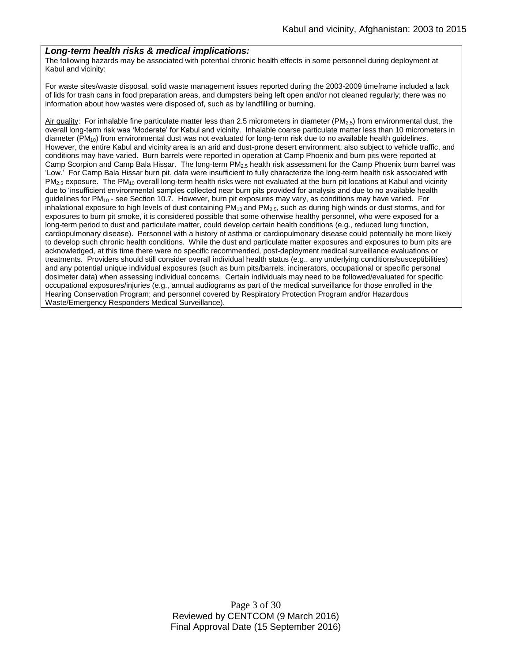#### *Long-term health risks & medical implications:*

The following hazards may be associated with potential chronic health effects in some personnel during deployment at Kabul and vicinity:

For waste sites/waste disposal, solid waste management issues reported during the 2003-2009 timeframe included a lack of lids for trash cans in food preparation areas, and dumpsters being left open and/or not cleaned regularly; there was no information about how wastes were disposed of, such as by landfilling or burning.

Air quality: For inhalable fine particulate matter less than 2.5 micrometers in diameter ( $PM_{2.5}$ ) from environmental dust, the overall long-term risk was 'Moderate' for Kabul and vicinity. Inhalable coarse particulate matter less than 10 micrometers in diameter (PM<sub>10</sub>) from environmental dust was not evaluated for long-term risk due to no available health guidelines. However, the entire Kabul and vicinity area is an arid and dust-prone desert environment, also subject to vehicle traffic, and conditions may have varied. Burn barrels were reported in operation at Camp Phoenix and burn pits were reported at Camp Scorpion and Camp Bala Hissar. The long-term PM2.5 health risk assessment for the Camp Phoenix burn barrel was 'Low.' For Camp Bala Hissar burn pit, data were insufficient to fully characterize the long-term health risk associated with PM<sub>2.5</sub> exposure. The PM<sub>10</sub> overall long-term health risks were not evaluated at the burn pit locations at Kabul and vicinity due to 'insufficient environmental samples collected near burn pits provided for analysis and due to no available health guidelines for PM<sup>10</sup> - see Section 10.7. However, burn pit exposures may vary, as conditions may have varied. For inhalational exposure to high levels of dust containing  $PM_{10}$  and  $PM_{2.5}$ , such as during high winds or dust storms, and for exposures to burn pit smoke, it is considered possible that some otherwise healthy personnel, who were exposed for a long-term period to dust and particulate matter, could develop certain health conditions (e.g., reduced lung function, cardiopulmonary disease). Personnel with a history of asthma or cardiopulmonary disease could potentially be more likely to develop such chronic health conditions. While the dust and particulate matter exposures and exposures to burn pits are acknowledged, at this time there were no specific recommended, post-deployment medical surveillance evaluations or treatments. Providers should still consider overall individual health status (e.g., any underlying conditions/susceptibilities) and any potential unique individual exposures (such as burn pits/barrels, incinerators, occupational or specific personal dosimeter data) when assessing individual concerns. Certain individuals may need to be followed/evaluated for specific occupational exposures/injuries (e.g., annual audiograms as part of the medical surveillance for those enrolled in the Hearing Conservation Program; and personnel covered by Respiratory Protection Program and/or Hazardous Waste/Emergency Responders Medical Surveillance).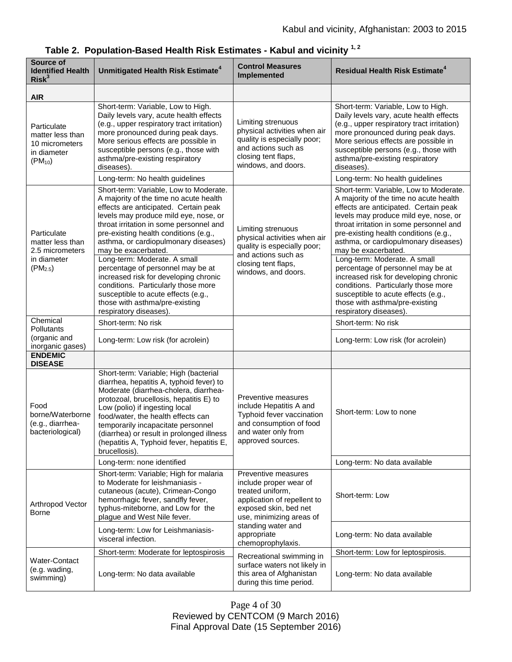| Source of<br><b>Identified Health</b><br>Risk <sup>3</sup>                        | Unmitigated Health Risk Estimate <sup>4</sup>                                                                                                                                                                                                                                                                                                                                                  | <b>Control Measures</b><br><b>Implemented</b>                                                                                                                                                                   | <b>Residual Health Risk Estimate<sup>4</sup></b>                                                                                                                                                                                                                                                                      |
|-----------------------------------------------------------------------------------|------------------------------------------------------------------------------------------------------------------------------------------------------------------------------------------------------------------------------------------------------------------------------------------------------------------------------------------------------------------------------------------------|-----------------------------------------------------------------------------------------------------------------------------------------------------------------------------------------------------------------|-----------------------------------------------------------------------------------------------------------------------------------------------------------------------------------------------------------------------------------------------------------------------------------------------------------------------|
| <b>AIR</b>                                                                        |                                                                                                                                                                                                                                                                                                                                                                                                |                                                                                                                                                                                                                 |                                                                                                                                                                                                                                                                                                                       |
| Particulate<br>matter less than<br>10 micrometers<br>in diameter<br>$(PM_{10})$   | Short-term: Variable, Low to High.<br>Daily levels vary, acute health effects<br>(e.g., upper respiratory tract irritation)<br>more pronounced during peak days.<br>More serious effects are possible in<br>susceptible persons (e.g., those with<br>asthma/pre-existing respiratory<br>diseases).                                                                                             | Limiting strenuous<br>physical activities when air<br>quality is especially poor;<br>and actions such as<br>closing tent flaps,<br>windows, and doors.                                                          | Short-term: Variable, Low to High.<br>Daily levels vary, acute health effects<br>(e.g., upper respiratory tract irritation)<br>more pronounced during peak days.<br>More serious effects are possible in<br>susceptible persons (e.g., those with<br>asthma/pre-existing respiratory<br>diseases).                    |
|                                                                                   | Long-term: No health guidelines                                                                                                                                                                                                                                                                                                                                                                |                                                                                                                                                                                                                 | Long-term: No health guidelines                                                                                                                                                                                                                                                                                       |
| Particulate<br>matter less than<br>2.5 micrometers<br>in diameter<br>$(PM_{2.5})$ | Short-term: Variable, Low to Moderate.<br>A majority of the time no acute health<br>effects are anticipated. Certain peak<br>levels may produce mild eye, nose, or<br>throat irritation in some personnel and<br>pre-existing health conditions (e.g.,<br>asthma, or cardiopulmonary diseases)<br>may be exacerbated.                                                                          | Limiting strenuous<br>physical activities when air<br>quality is especially poor;<br>and actions such as<br>closing tent flaps,<br>windows, and doors.                                                          | Short-term: Variable, Low to Moderate.<br>A majority of the time no acute health<br>effects are anticipated. Certain peak<br>levels may produce mild eye, nose, or<br>throat irritation in some personnel and<br>pre-existing health conditions (e.g.,<br>asthma, or cardiopulmonary diseases)<br>may be exacerbated. |
|                                                                                   | Long-term: Moderate. A small<br>percentage of personnel may be at<br>increased risk for developing chronic<br>conditions. Particularly those more<br>susceptible to acute effects (e.g.,<br>those with asthma/pre-existing<br>respiratory diseases).                                                                                                                                           |                                                                                                                                                                                                                 | Long-term: Moderate. A small<br>percentage of personnel may be at<br>increased risk for developing chronic<br>conditions. Particularly those more<br>susceptible to acute effects (e.g.,<br>those with asthma/pre-existing<br>respiratory diseases).                                                                  |
| Chemical<br>Pollutants                                                            | Short-term: No risk                                                                                                                                                                                                                                                                                                                                                                            |                                                                                                                                                                                                                 | Short-term: No risk                                                                                                                                                                                                                                                                                                   |
| (organic and<br>inorganic gases)                                                  | Long-term: Low risk (for acrolein)                                                                                                                                                                                                                                                                                                                                                             |                                                                                                                                                                                                                 | Long-term: Low risk (for acrolein)                                                                                                                                                                                                                                                                                    |
| <b>ENDEMIC</b><br><b>DISEASE</b>                                                  |                                                                                                                                                                                                                                                                                                                                                                                                |                                                                                                                                                                                                                 |                                                                                                                                                                                                                                                                                                                       |
| Food<br>borne/Waterborne<br>(e.g., diarrhea-<br>bacteriological)                  | Short-term: Variable; High (bacterial<br>diarrhea, hepatitis A, typhoid fever) to<br>Moderate (diarrhea-cholera, diarrhea-<br>protozoal, brucellosis, hepatitis E) to<br>Low (polio) if ingesting local<br>food/water, the health effects can<br>temporarily incapacitate personnel<br>(diarrhea) or result in prolonged illness<br>(hepatitis A, Typhoid fever, hepatitis E,<br>brucellosis). | Preventive measures<br>include Hepatitis A and<br>Typhoid fever vaccination<br>and consumption of food<br>and water only from<br>approved sources.                                                              | Short-term: Low to none                                                                                                                                                                                                                                                                                               |
|                                                                                   | Long-term: none identified                                                                                                                                                                                                                                                                                                                                                                     |                                                                                                                                                                                                                 | Long-term: No data available                                                                                                                                                                                                                                                                                          |
| Arthropod Vector<br>Borne                                                         | Short-term: Variable; High for malaria<br>to Moderate for leishmaniasis -<br>cutaneous (acute), Crimean-Congo<br>hemorrhagic fever, sandfly fever,<br>typhus-miteborne, and Low for the<br>plague and West Nile fever.                                                                                                                                                                         | Preventive measures<br>include proper wear of<br>treated uniform,<br>application of repellent to<br>exposed skin, bed net<br>use, minimizing areas of<br>standing water and<br>appropriate<br>chemoprophylaxis. | Short-term: Low                                                                                                                                                                                                                                                                                                       |
|                                                                                   | Long-term: Low for Leishmaniasis-<br>visceral infection.                                                                                                                                                                                                                                                                                                                                       |                                                                                                                                                                                                                 | Long-term: No data available                                                                                                                                                                                                                                                                                          |
| Water-Contact<br>(e.g. wading,<br>swimming)                                       | Short-term: Moderate for leptospirosis                                                                                                                                                                                                                                                                                                                                                         | Recreational swimming in<br>surface waters not likely in<br>this area of Afghanistan<br>during this time period.                                                                                                | Short-term: Low for leptospirosis.                                                                                                                                                                                                                                                                                    |
|                                                                                   | Long-term: No data available                                                                                                                                                                                                                                                                                                                                                                   |                                                                                                                                                                                                                 | Long-term: No data available                                                                                                                                                                                                                                                                                          |

**Table 2. Population-Based Health Risk Estimates - Kabul and vicinity 1, 2**

Page 4 of 30 Reviewed by CENTCOM (9 March 2016) Final Approval Date (15 September 2016)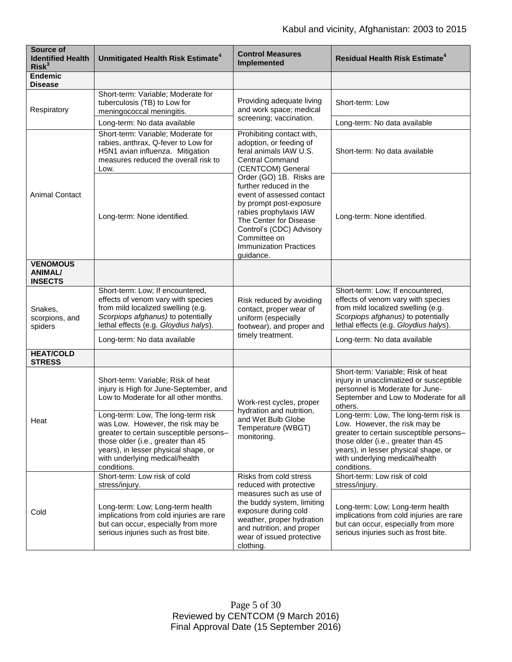| Source of<br><b>Identified Health</b><br>Risk <sup>3</sup> | Unmitigated Health Risk Estimate <sup>4</sup>                                                                                                                                                                                                     | <b>Control Measures</b><br>Implemented                                                                                                                                                                                                                                                                                                                                                    | <b>Residual Health Risk Estimate<sup>4</sup></b>                                                                                                                                                                                                 |
|------------------------------------------------------------|---------------------------------------------------------------------------------------------------------------------------------------------------------------------------------------------------------------------------------------------------|-------------------------------------------------------------------------------------------------------------------------------------------------------------------------------------------------------------------------------------------------------------------------------------------------------------------------------------------------------------------------------------------|--------------------------------------------------------------------------------------------------------------------------------------------------------------------------------------------------------------------------------------------------|
| <b>Endemic</b><br><b>Disease</b>                           |                                                                                                                                                                                                                                                   |                                                                                                                                                                                                                                                                                                                                                                                           |                                                                                                                                                                                                                                                  |
| Respiratory                                                | Short-term: Variable; Moderate for<br>tuberculosis (TB) to Low for<br>meningococcal meningitis.                                                                                                                                                   | Providing adequate living<br>and work space; medical<br>screening; vaccination.                                                                                                                                                                                                                                                                                                           | Short-term: Low                                                                                                                                                                                                                                  |
|                                                            | Long-term: No data available                                                                                                                                                                                                                      |                                                                                                                                                                                                                                                                                                                                                                                           | Long-term: No data available                                                                                                                                                                                                                     |
| <b>Animal Contact</b>                                      | Short-term: Variable; Moderate for<br>rabies, anthrax, Q-fever to Low for<br>H5N1 avian influenza. Mitigation<br>measures reduced the overall risk to<br>Low.                                                                                     | Prohibiting contact with,<br>adoption, or feeding of<br>feral animals IAW U.S.<br><b>Central Command</b><br>(CENTCOM) General<br>Order (GO) 1B. Risks are<br>further reduced in the<br>event of assessed contact<br>by prompt post-exposure<br>rabies prophylaxis IAW<br>The Center for Disease<br>Control's (CDC) Advisory<br>Committee on<br><b>Immunization Practices</b><br>guidance. | Short-term: No data available                                                                                                                                                                                                                    |
|                                                            | Long-term: None identified.                                                                                                                                                                                                                       |                                                                                                                                                                                                                                                                                                                                                                                           | Long-term: None identified.                                                                                                                                                                                                                      |
| <b>VENOMOUS</b><br><b>ANIMAL/</b><br><b>INSECTS</b>        |                                                                                                                                                                                                                                                   |                                                                                                                                                                                                                                                                                                                                                                                           |                                                                                                                                                                                                                                                  |
| Snakes,<br>scorpions, and<br>spiders                       | Short-term: Low; If encountered,<br>effects of venom vary with species<br>from mild localized swelling (e.g.<br>Scorpiops afghanus) to potentially<br>lethal effects (e.g. Gloydius halys).                                                       | Risk reduced by avoiding<br>contact, proper wear of<br>uniform (especially<br>footwear), and proper and<br>timely treatment.                                                                                                                                                                                                                                                              | Short-term: Low; If encountered,<br>effects of venom vary with species<br>from mild localized swelling (e.g.<br>Scorpiops afghanus) to potentially<br>lethal effects (e.g. Gloydius halys).                                                      |
|                                                            | Long-term: No data available                                                                                                                                                                                                                      |                                                                                                                                                                                                                                                                                                                                                                                           | Long-term: No data available                                                                                                                                                                                                                     |
| <b>HEAT/COLD</b><br><b>STRESS</b>                          |                                                                                                                                                                                                                                                   |                                                                                                                                                                                                                                                                                                                                                                                           |                                                                                                                                                                                                                                                  |
| Heat                                                       | Short-term: Variable; Risk of heat<br>injury is High for June-September, and<br>Low to Moderate for all other months.                                                                                                                             | Work-rest cycles, proper<br>hydration and nutrition,<br>and Wet Bulb Globe<br>Temperature (WBGT)<br>monitoring.                                                                                                                                                                                                                                                                           | Short-term: Variable; Risk of heat<br>injury in unacclimatized or susceptible<br>personnel is Moderate for June-<br>September and Low to Moderate for all<br>others.                                                                             |
|                                                            | Long-term: Low, The long-term risk<br>was Low. However, the risk may be<br>greater to certain susceptible persons-<br>those older (i.e., greater than 45<br>years), in lesser physical shape, or<br>with underlying medical/health<br>conditions. |                                                                                                                                                                                                                                                                                                                                                                                           | Long-term: Low, The long-term risk is<br>Low. However, the risk may be<br>greater to certain susceptible persons-<br>those older (i.e., greater than 45<br>years), in lesser physical shape, or<br>with underlying medical/health<br>conditions. |
| Cold                                                       | Short-term: Low risk of cold<br>stress/injury.                                                                                                                                                                                                    | Risks from cold stress<br>reduced with protective                                                                                                                                                                                                                                                                                                                                         | Short-term: Low risk of cold<br>stress/injury.                                                                                                                                                                                                   |
|                                                            | Long-term: Low; Long-term health<br>implications from cold injuries are rare<br>but can occur, especially from more<br>serious injuries such as frost bite.                                                                                       | measures such as use of<br>the buddy system, limiting<br>exposure during cold<br>weather, proper hydration<br>and nutrition, and proper<br>wear of issued protective<br>clothing.                                                                                                                                                                                                         | Long-term: Low; Long-term health<br>implications from cold injuries are rare<br>but can occur, especially from more<br>serious injuries such as frost bite.                                                                                      |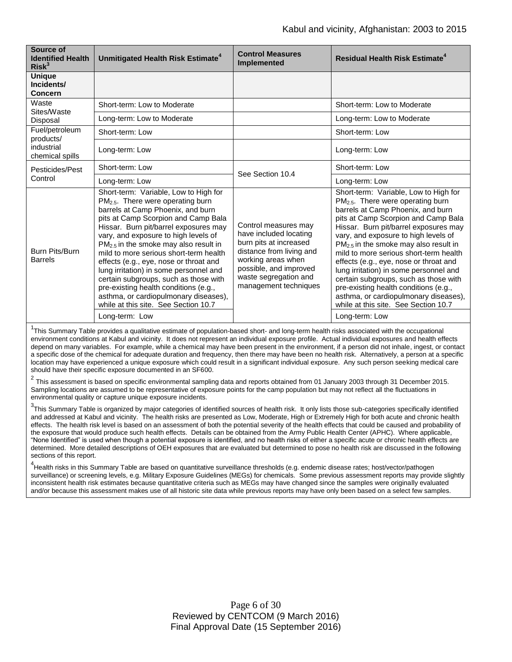| Source of<br><b>Identified Health</b><br>Risk <sup>3</sup>   | Unmitigated Health Risk Estimate <sup>4</sup>                                                                                                                                                                                                                                                                                                                                                                                                                                                                                                                                                                     | <b>Control Measures</b><br><b>Implemented</b>                                                                                                                                                          | <b>Residual Health Risk Estimate<sup>4</sup></b>                                                                                                                                                                                                                                                                                                                                                                                                                                                                                                                                                                  |
|--------------------------------------------------------------|-------------------------------------------------------------------------------------------------------------------------------------------------------------------------------------------------------------------------------------------------------------------------------------------------------------------------------------------------------------------------------------------------------------------------------------------------------------------------------------------------------------------------------------------------------------------------------------------------------------------|--------------------------------------------------------------------------------------------------------------------------------------------------------------------------------------------------------|-------------------------------------------------------------------------------------------------------------------------------------------------------------------------------------------------------------------------------------------------------------------------------------------------------------------------------------------------------------------------------------------------------------------------------------------------------------------------------------------------------------------------------------------------------------------------------------------------------------------|
| <b>Unique</b><br>Incidents/<br><b>Concern</b>                |                                                                                                                                                                                                                                                                                                                                                                                                                                                                                                                                                                                                                   |                                                                                                                                                                                                        |                                                                                                                                                                                                                                                                                                                                                                                                                                                                                                                                                                                                                   |
| Waste<br>Sites/Waste<br>Disposal                             | Short-term: Low to Moderate                                                                                                                                                                                                                                                                                                                                                                                                                                                                                                                                                                                       |                                                                                                                                                                                                        | Short-term: Low to Moderate                                                                                                                                                                                                                                                                                                                                                                                                                                                                                                                                                                                       |
|                                                              | Long-term: Low to Moderate                                                                                                                                                                                                                                                                                                                                                                                                                                                                                                                                                                                        |                                                                                                                                                                                                        | Long-term: Low to Moderate                                                                                                                                                                                                                                                                                                                                                                                                                                                                                                                                                                                        |
| Fuel/petroleum<br>products/<br>industrial<br>chemical spills | Short-term: Low                                                                                                                                                                                                                                                                                                                                                                                                                                                                                                                                                                                                   |                                                                                                                                                                                                        | Short-term: Low                                                                                                                                                                                                                                                                                                                                                                                                                                                                                                                                                                                                   |
|                                                              | Long-term: Low                                                                                                                                                                                                                                                                                                                                                                                                                                                                                                                                                                                                    |                                                                                                                                                                                                        | Long-term: Low                                                                                                                                                                                                                                                                                                                                                                                                                                                                                                                                                                                                    |
| Pesticides/Pest<br>Control                                   | Short-term: Low                                                                                                                                                                                                                                                                                                                                                                                                                                                                                                                                                                                                   | See Section 10.4                                                                                                                                                                                       | Short-term: Low                                                                                                                                                                                                                                                                                                                                                                                                                                                                                                                                                                                                   |
|                                                              | Long-term: Low                                                                                                                                                                                                                                                                                                                                                                                                                                                                                                                                                                                                    |                                                                                                                                                                                                        | Long-term: Low                                                                                                                                                                                                                                                                                                                                                                                                                                                                                                                                                                                                    |
| Burn Pits/Burn<br><b>Barrels</b>                             | Short-term: Variable, Low to High for<br>PM <sub>2.5</sub> . There were operating burn<br>barrels at Camp Phoenix, and burn<br>pits at Camp Scorpion and Camp Bala<br>Hissar. Burn pit/barrel exposures may<br>vary, and exposure to high levels of<br>$PM2.5$ in the smoke may also result in<br>mild to more serious short-term health<br>effects (e.g., eye, nose or throat and<br>lung irritation) in some personnel and<br>certain subgroups, such as those with<br>pre-existing health conditions (e.g.,<br>asthma, or cardiopulmonary diseases),<br>while at this site. See Section 10.7<br>Long-term: Low | Control measures may<br>have included locating<br>burn pits at increased<br>distance from living and<br>working areas when<br>possible, and improved<br>waste segregation and<br>management techniques | Short-term: Variable, Low to High for<br>PM <sub>2.5</sub> . There were operating burn<br>barrels at Camp Phoenix, and burn<br>pits at Camp Scorpion and Camp Bala<br>Hissar. Burn pit/barrel exposures may<br>vary, and exposure to high levels of<br>$PM2.5$ in the smoke may also result in<br>mild to more serious short-term health<br>effects (e.g., eye, nose or throat and<br>lung irritation) in some personnel and<br>certain subgroups, such as those with<br>pre-existing health conditions (e.g.,<br>asthma, or cardiopulmonary diseases),<br>while at this site. See Section 10.7<br>Long-term: Low |

<sup>1</sup>This Summary Table provides a qualitative estimate of population-based short- and long-term health risks associated with the occupational environment conditions at Kabul and vicinity. It does not represent an individual exposure profile. Actual individual exposures and health effects depend on many variables. For example, while a chemical may have been present in the environment, if a person did not inhale, ingest, or contact a specific dose of the chemical for adequate duration and frequency, then there may have been no health risk. Alternatively, a person at a specific location may have experienced a unique exposure which could result in a significant individual exposure. Any such person seeking medical care should have their specific exposure documented in an SF600.

 $^2$  This assessment is based on specific environmental sampling data and reports obtained from 01 January 2003 through 31 December 2015. Sampling locations are assumed to be representative of exposure points for the camp population but may not reflect all the fluctuations in environmental quality or capture unique exposure incidents.

<sup>3</sup>This Summary Table is organized by major categories of identified sources of health risk. It only lists those sub-categories specifically identified and addressed at Kabul and vicinity. The health risks are presented as Low, Moderate, High or Extremely High for both acute and chronic health effects. The health risk level is based on an assessment of both the potential severity of the health effects that could be caused and probability of the exposure that would produce such health effects. Details can be obtained from the Army Public Health Center (APHC). Where applicable, "None Identified" is used when though a potential exposure is identified, and no health risks of either a specific acute or chronic health effects are determined. More detailed descriptions of OEH exposures that are evaluated but determined to pose no health risk are discussed in the following sections of this report.

<sup>4</sup>Health risks in this Summary Table are based on quantitative surveillance thresholds (e.g. endemic disease rates; host/vector/pathogen surveillance) or screening levels, e.g. Military Exposure Guidelines (MEGs) for chemicals*.* Some previous assessment reports may provide slightly inconsistent health risk estimates because quantitative criteria such as MEGs may have changed since the samples were originally evaluated and/or because this assessment makes use of all historic site data while previous reports may have only been based on a select few samples.

> Page 6 of 30 Reviewed by CENTCOM (9 March 2016) Final Approval Date (15 September 2016)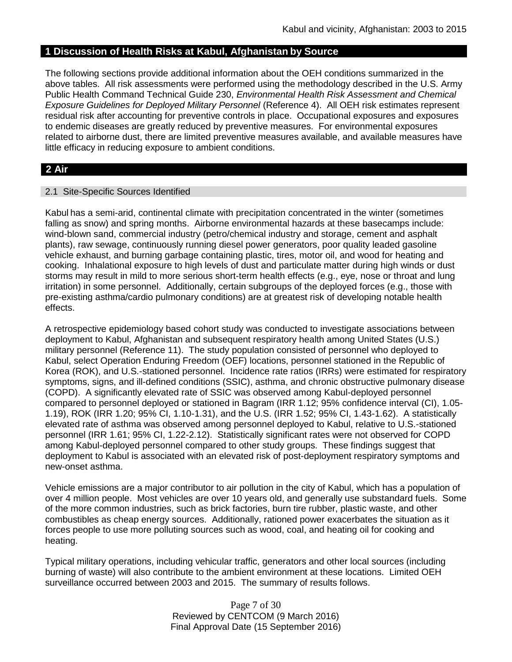## **1 Discussion of Health Risks at Kabul, Afghanistan by Source**

The following sections provide additional information about the OEH conditions summarized in the above tables. All risk assessments were performed using the methodology described in the U.S. Army Public Health Command Technical Guide 230, *Environmental Health Risk Assessment and Chemical Exposure Guidelines for Deployed Military Personnel* (Reference 4). All OEH risk estimates represent residual risk after accounting for preventive controls in place. Occupational exposures and exposures to endemic diseases are greatly reduced by preventive measures. For environmental exposures related to airborne dust, there are limited preventive measures available, and available measures have little efficacy in reducing exposure to ambient conditions.

# **2 Air**

#### 2.1 Site-Specific Sources Identified

Kabul has a semi-arid, continental climate with precipitation concentrated in the winter (sometimes falling as snow) and spring months. Airborne environmental hazards at these basecamps include: wind-blown sand, commercial industry (petro/chemical industry and storage, cement and asphalt plants), raw sewage, continuously running diesel power generators, poor quality leaded gasoline vehicle exhaust, and burning garbage containing plastic, tires, motor oil, and wood for heating and cooking. Inhalational exposure to high levels of dust and particulate matter during high winds or dust storms may result in mild to more serious short-term health effects (e.g., eye, nose or throat and lung irritation) in some personnel. Additionally, certain subgroups of the deployed forces (e.g., those with pre-existing asthma/cardio pulmonary conditions) are at greatest risk of developing notable health effects.

A retrospective epidemiology based cohort study was conducted to investigate associations between deployment to Kabul, Afghanistan and subsequent respiratory health among United States (U.S.) military personnel (Reference 11). The study population consisted of personnel who deployed to Kabul, select Operation Enduring Freedom (OEF) locations, personnel stationed in the Republic of Korea (ROK), and U.S.-stationed personnel. Incidence rate ratios (IRRs) were estimated for respiratory symptoms, signs, and ill-defined conditions (SSIC), asthma, and chronic obstructive pulmonary disease (COPD). A significantly elevated rate of SSIC was observed among Kabul-deployed personnel compared to personnel deployed or stationed in Bagram (IRR 1.12; 95% confidence interval (CI), 1.05- 1.19), ROK (IRR 1.20; 95% CI, 1.10-1.31), and the U.S. (IRR 1.52; 95% CI, 1.43-1.62). A statistically elevated rate of asthma was observed among personnel deployed to Kabul, relative to U.S.-stationed personnel (IRR 1.61; 95% CI, 1.22-2.12). Statistically significant rates were not observed for COPD among Kabul-deployed personnel compared to other study groups. These findings suggest that deployment to Kabul is associated with an elevated risk of post-deployment respiratory symptoms and new-onset asthma.

Vehicle emissions are a major contributor to air pollution in the city of Kabul, which has a population of over 4 million people. Most vehicles are over 10 years old, and generally use substandard fuels. Some of the more common industries, such as brick factories, burn tire rubber, plastic waste, and other combustibles as cheap energy sources. Additionally, rationed power exacerbates the situation as it forces people to use more polluting sources such as wood, coal, and heating oil for cooking and heating.

Typical military operations, including vehicular traffic, generators and other local sources (including burning of waste) will also contribute to the ambient environment at these locations. Limited OEH surveillance occurred between 2003 and 2015. The summary of results follows.

> Page 7 of 30 Reviewed by CENTCOM (9 March 2016) Final Approval Date (15 September 2016)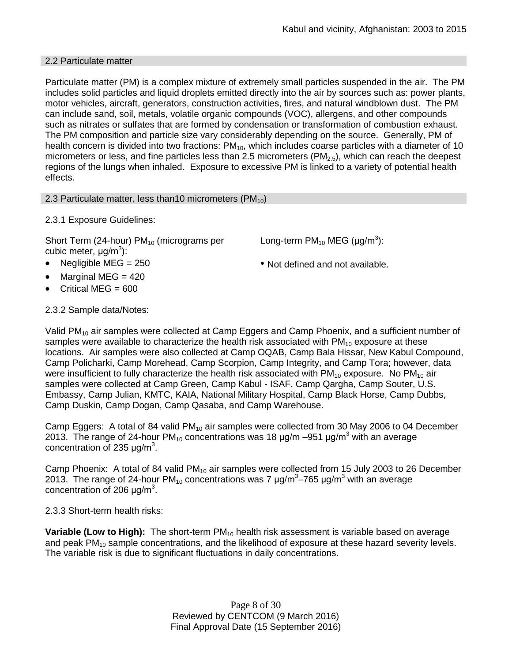#### 2.2 Particulate matter

Particulate matter (PM) is a complex mixture of extremely small particles suspended in the air. The PM includes solid particles and liquid droplets emitted directly into the air by sources such as: power plants, motor vehicles, aircraft, generators, construction activities, fires, and natural windblown dust. The PM can include sand, soil, metals, volatile organic compounds (VOC), allergens, and other compounds such as nitrates or sulfates that are formed by condensation or transformation of combustion exhaust. The PM composition and particle size vary considerably depending on the source. Generally, PM of health concern is divided into two fractions:  $PM_{10}$ , which includes coarse particles with a diameter of 10 micrometers or less, and fine particles less than 2.5 micrometers ( $PM<sub>2.5</sub>$ ), which can reach the deepest regions of the lungs when inhaled. Exposure to excessive PM is linked to a variety of potential health effects.

2.3 Particulate matter, less than 10 micrometers ( $PM_{10}$ )

## 2.3.1 Exposure Guidelines:

Short Term (24-hour)  $PM_{10}$  (micrograms per cubic meter, μg/m<sup>3</sup>):

- Negligible MEG = 250 Not defined and not available.
- Marginal MEG = 420
- Critical MEG  $= 600$

# Long-term  $PM_{10}$  MEG (µg/m<sup>3</sup>):

# 2.3.2 Sample data/Notes:

Valid PM<sub>10</sub> air samples were collected at Camp Eggers and Camp Phoenix, and a sufficient number of samples were available to characterize the health risk associated with  $PM_{10}$  exposure at these locations. Air samples were also collected at Camp OQAB, Camp Bala Hissar, New Kabul Compound, Camp Policharki, Camp Morehead, Camp Scorpion, Camp Integrity, and Camp Tora; however, data were insufficient to fully characterize the health risk associated with  $PM_{10}$  exposure. No  $PM_{10}$  air samples were collected at Camp Green, Camp Kabul - ISAF, Camp Qargha, Camp Souter, U.S. Embassy, Camp Julian, KMTC, KAIA, National Military Hospital, Camp Black Horse, Camp Dubbs, Camp Duskin, Camp Dogan, Camp Qasaba, and Camp Warehouse.

Camp Eggers: A total of 84 valid  $PM_{10}$  air samples were collected from 30 May 2006 to 04 December 2013. The range of 24-hour PM<sub>10</sub> concentrations was 18  $\mu$ g/m –951  $\mu$ g/m<sup>3</sup> with an average concentration of 235  $\mu$ g/m<sup>3</sup>.

Camp Phoenix: A total of 84 valid  $PM_{10}$  air samples were collected from 15 July 2003 to 26 December 2013. The range of 24-hour PM<sub>10</sub> concentrations was 7  $\mu$ g/m<sup>3</sup>–765  $\mu$ g/m<sup>3</sup> with an average concentration of 206  $\mu$ g/m<sup>3</sup>.

2.3.3 Short-term health risks:

**Variable (Low to High):** The short-term PM<sub>10</sub> health risk assessment is variable based on average and peak  $PM_{10}$  sample concentrations, and the likelihood of exposure at these hazard severity levels. The variable risk is due to significant fluctuations in daily concentrations.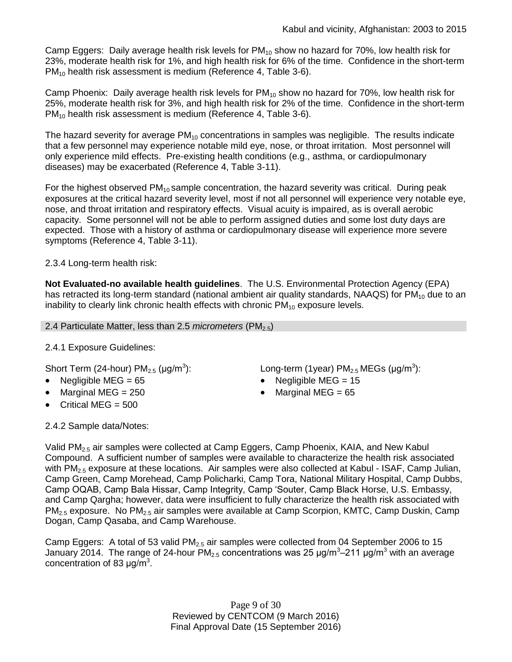Camp Eggers: Daily average health risk levels for  $PM_{10}$  show no hazard for 70%, low health risk for 23%, moderate health risk for 1%, and high health risk for 6% of the time. Confidence in the short-term PM<sub>10</sub> health risk assessment is medium (Reference 4, Table 3-6).

Camp Phoenix: Daily average health risk levels for  $PM_{10}$  show no hazard for 70%, low health risk for 25%, moderate health risk for 3%, and high health risk for 2% of the time. Confidence in the short-term PM<sub>10</sub> health risk assessment is medium (Reference 4, Table 3-6).

The hazard severity for average  $PM_{10}$  concentrations in samples was negligible. The results indicate that a few personnel may experience notable mild eye, nose, or throat irritation. Most personnel will only experience mild effects. Pre-existing health conditions (e.g., asthma, or cardiopulmonary diseases) may be exacerbated (Reference 4, Table 3-11).

For the highest observed  $PM_{10}$  sample concentration, the hazard severity was critical. During peak exposures at the critical hazard severity level, most if not all personnel will experience very notable eye, nose, and throat irritation and respiratory effects. Visual acuity is impaired, as is overall aerobic capacity. Some personnel will not be able to perform assigned duties and some lost duty days are expected. Those with a history of asthma or cardiopulmonary disease will experience more severe symptoms (Reference 4, Table 3-11).

# 2.3.4 Long-term health risk:

**Not Evaluated-no available health guidelines**. The U.S. Environmental Protection Agency (EPA) has retracted its long-term standard (national ambient air quality standards, NAAQS) for  $PM_{10}$  due to an inability to clearly link chronic health effects with chronic  $PM_{10}$  exposure levels.

2.4 Particulate Matter, less than 2.5 *micrometers* (PM<sub>2.5</sub>)

# 2.4.1 Exposure Guidelines:

Short Term (24-hour)  $PM_{2.5}$  (µg/m<sup>3</sup>):

- Negligible MEG = 65 Negligible MEG = 15
- Marginal MEG =  $250$   $\bullet$  Marginal MEG =  $65$
- Critical MEG = 500

): Long-term (1year)  $PM_{2.5}$  MEGs (µg/m<sup>3</sup>):

2.4.2 Sample data/Notes:

Valid PM2.5 air samples were collected at Camp Eggers, Camp Phoenix, KAIA, and New Kabul Compound. A sufficient number of samples were available to characterize the health risk associated with PM<sub>2.5</sub> exposure at these locations. Air samples were also collected at Kabul - ISAF, Camp Julian, Camp Green, Camp Morehead, Camp Policharki, Camp Tora, National Military Hospital, Camp Dubbs, Camp OQAB, Camp Bala Hissar, Camp Integrity, Camp 'Souter, Camp Black Horse, U.S. Embassy, and Camp Qargha; however, data were insufficient to fully characterize the health risk associated with PM<sub>2.5</sub> exposure. No PM<sub>2.5</sub> air samples were available at Camp Scorpion, KMTC, Camp Duskin, Camp Dogan, Camp Qasaba, and Camp Warehouse.

Camp Eggers: A total of 53 valid  $PM<sub>2.5</sub>$  air samples were collected from 04 September 2006 to 15 January 2014. The range of 24-hour PM<sub>2.5</sub> concentrations was 25  $\mu$ g/m<sup>3</sup>–211  $\mu$ g/m<sup>3</sup> with an average concentration of 83  $\mu$ g/m<sup>3</sup>.

> Page 9 of 30 Reviewed by CENTCOM (9 March 2016) Final Approval Date (15 September 2016)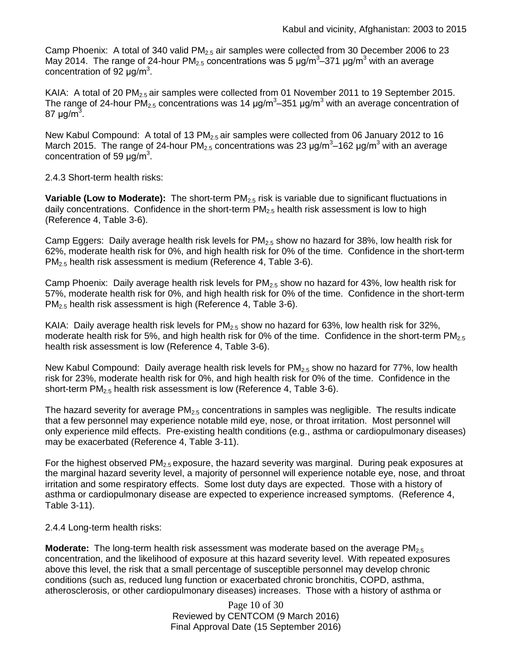Camp Phoenix: A total of 340 valid  $PM<sub>2.5</sub>$  air samples were collected from 30 December 2006 to 23 May 2014. The range of 24-hour PM<sub>2.5</sub> concentrations was 5  $\mu$ g/m<sup>3</sup>–371  $\mu$ g/m<sup>3</sup> with an average concentration of 92  $\mu$ g/m<sup>3</sup>.

KAIA: A total of 20 PM<sub>2.5</sub> air samples were collected from 01 November 2011 to 19 September 2015. The range of 24-hour PM<sub>2.5</sub> concentrations was 14  $\mu$ g/m<sup>3</sup>–351  $\mu$ g/m<sup>3</sup> with an average concentration of 87 μg/m $^3$ .

New Kabul Compound: A total of 13 PM $_{2.5}$  air samples were collected from 06 January 2012 to 16 March 2015. The range of 24-hour PM<sub>2.5</sub> concentrations was 23  $\mu$ g/m<sup>3</sup>–162  $\mu$ g/m<sup>3</sup> with an average concentration of 59  $\mu$ g/m<sup>3</sup>.

## 2.4.3 Short-term health risks:

**Variable (Low to Moderate):** The short-term PM<sub>2.5</sub> risk is variable due to significant fluctuations in daily concentrations. Confidence in the short-term  $PM<sub>2.5</sub>$  health risk assessment is low to high (Reference 4, Table 3-6).

Camp Eggers: Daily average health risk levels for  $PM_{2.5}$  show no hazard for 38%, low health risk for 62%, moderate health risk for 0%, and high health risk for 0% of the time. Confidence in the short-term PM<sub>2.5</sub> health risk assessment is medium (Reference 4, Table 3-6).

Camp Phoenix: Daily average health risk levels for  $PM_{2.5}$  show no hazard for 43%, low health risk for 57%, moderate health risk for 0%, and high health risk for 0% of the time. Confidence in the short-term PM<sub>2.5</sub> health risk assessment is high (Reference 4, Table 3-6).

KAIA: Daily average health risk levels for  $PM_{2.5}$  show no hazard for 63%, low health risk for 32%, moderate health risk for 5%, and high health risk for 0% of the time. Confidence in the short-term  $PM_{2.5}$ health risk assessment is low (Reference 4, Table 3-6).

New Kabul Compound: Daily average health risk levels for  $PM<sub>2.5</sub>$  show no hazard for 77%, low health risk for 23%, moderate health risk for 0%, and high health risk for 0% of the time. Confidence in the short-term PM2.5 health risk assessment is low (Reference 4, Table 3-6).

The hazard severity for average  $PM<sub>2.5</sub>$  concentrations in samples was negligible. The results indicate that a few personnel may experience notable mild eye, nose, or throat irritation. Most personnel will only experience mild effects. Pre-existing health conditions (e.g., asthma or cardiopulmonary diseases) may be exacerbated (Reference 4, Table 3-11).

For the highest observed  $PM_{2.5}$  exposure, the hazard severity was marginal. During peak exposures at the marginal hazard severity level, a majority of personnel will experience notable eye, nose, and throat irritation and some respiratory effects. Some lost duty days are expected. Those with a history of asthma or cardiopulmonary disease are expected to experience increased symptoms. (Reference 4, Table 3-11).

2.4.4 Long-term health risks:

**Moderate:** The long-term health risk assessment was moderate based on the average PM<sub>2.5</sub> concentration, and the likelihood of exposure at this hazard severity level. With repeated exposures above this level, the risk that a small percentage of susceptible personnel may develop chronic conditions (such as, reduced lung function or exacerbated chronic bronchitis, COPD, asthma, atherosclerosis, or other cardiopulmonary diseases) increases. Those with a history of asthma or

> Page 10 of 30 Reviewed by CENTCOM (9 March 2016) Final Approval Date (15 September 2016)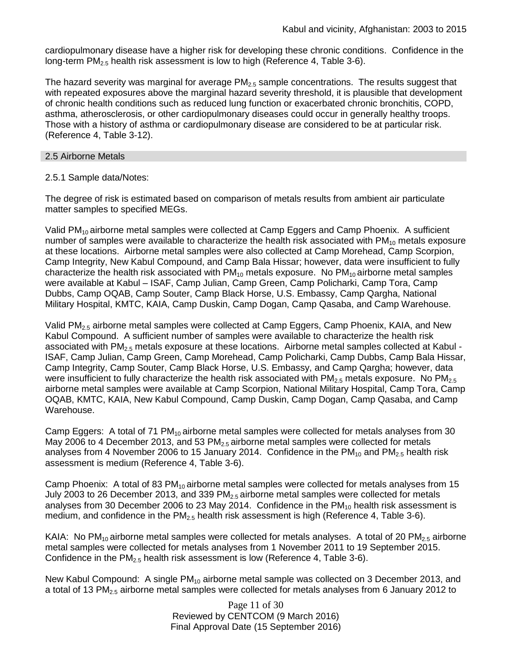cardiopulmonary disease have a higher risk for developing these chronic conditions. Confidence in the long-term  $PM_{2.5}$  health risk assessment is low to high (Reference 4, Table 3-6).

The hazard severity was marginal for average  $PM<sub>2.5</sub>$  sample concentrations. The results suggest that with repeated exposures above the marginal hazard severity threshold, it is plausible that development of chronic health conditions such as reduced lung function or exacerbated chronic bronchitis, COPD, asthma, atherosclerosis, or other cardiopulmonary diseases could occur in generally healthy troops. Those with a history of asthma or cardiopulmonary disease are considered to be at particular risk. (Reference 4, Table 3-12).

#### 2.5 Airborne Metals

#### 2.5.1 Sample data/Notes:

The degree of risk is estimated based on comparison of metals results from ambient air particulate matter samples to specified MEGs.

Valid PM<sub>10</sub> airborne metal samples were collected at Camp Eggers and Camp Phoenix. A sufficient number of samples were available to characterize the health risk associated with  $PM_{10}$  metals exposure at these locations. Airborne metal samples were also collected at Camp Morehead, Camp Scorpion, Camp Integrity, New Kabul Compound, and Camp Bala Hissar; however, data were insufficient to fully characterize the health risk associated with  $PM_{10}$  metals exposure. No  $PM_{10}$  airborne metal samples were available at Kabul – ISAF, Camp Julian, Camp Green, Camp Policharki, Camp Tora, Camp Dubbs, Camp OQAB, Camp Souter, Camp Black Horse, U.S. Embassy, Camp Qargha, National Military Hospital, KMTC, KAIA, Camp Duskin, Camp Dogan, Camp Qasaba, and Camp Warehouse.

Valid PM2.5 airborne metal samples were collected at Camp Eggers, Camp Phoenix, KAIA, and New Kabul Compound. A sufficient number of samples were available to characterize the health risk associated with PM<sub>2.5</sub> metals exposure at these locations. Airborne metal samples collected at Kabul -ISAF, Camp Julian, Camp Green, Camp Morehead, Camp Policharki, Camp Dubbs, Camp Bala Hissar, Camp Integrity, Camp Souter, Camp Black Horse, U.S. Embassy, and Camp Qargha; however, data were insufficient to fully characterize the health risk associated with  $PM<sub>2.5</sub>$  metals exposure. No  $PM<sub>2.5</sub>$ airborne metal samples were available at Camp Scorpion, National Military Hospital, Camp Tora, Camp OQAB, KMTC, KAIA, New Kabul Compound, Camp Duskin, Camp Dogan, Camp Qasaba, and Camp Warehouse.

Camp Eggers: A total of 71  $PM_{10}$  airborne metal samples were collected for metals analyses from 30 May 2006 to 4 December 2013, and 53  $PM<sub>2.5</sub>$  airborne metal samples were collected for metals analyses from 4 November 2006 to 15 January 2014. Confidence in the  $PM_{10}$  and  $PM_{2.5}$  health risk assessment is medium (Reference 4, Table 3-6).

Camp Phoenix: A total of 83  $PM_{10}$  airborne metal samples were collected for metals analyses from 15 July 2003 to 26 December 2013, and 339  $PM<sub>2.5</sub>$  airborne metal samples were collected for metals analyses from 30 December 2006 to 23 May 2014. Confidence in the  $PM_{10}$  health risk assessment is medium, and confidence in the  $PM<sub>2.5</sub>$  health risk assessment is high (Reference 4, Table 3-6).

KAIA: No PM<sub>10</sub> airborne metal samples were collected for metals analyses. A total of 20 PM<sub>2.5</sub> airborne metal samples were collected for metals analyses from 1 November 2011 to 19 September 2015. Confidence in the  $PM_{2.5}$  health risk assessment is low (Reference 4, Table 3-6).

New Kabul Compound: A single  $PM_{10}$  airborne metal sample was collected on 3 December 2013, and a total of 13 PM $_{2.5}$  airborne metal samples were collected for metals analyses from 6 January 2012 to

> Page 11 of 30 Reviewed by CENTCOM (9 March 2016) Final Approval Date (15 September 2016)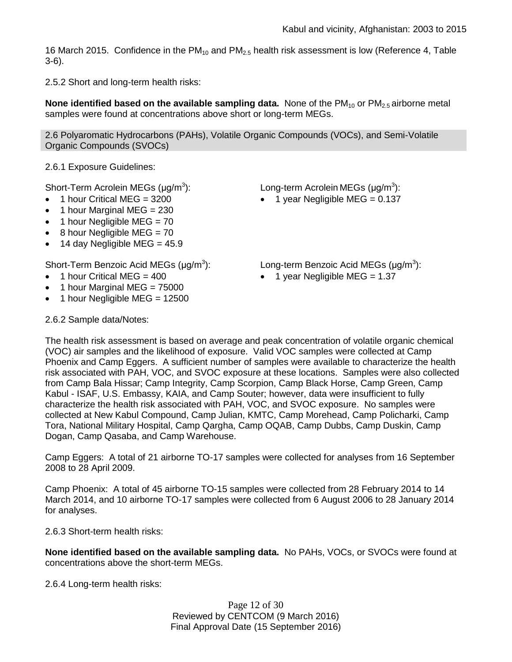16 March 2015. Confidence in the  $PM_{10}$  and  $PM_{2.5}$  health risk assessment is low (Reference 4, Table 3-6).

2.5.2 Short and long-term health risks:

**None identified based on the available sampling data.** None of the PM<sub>10</sub> or PM<sub>2.5</sub> airborne metal samples were found at concentrations above short or long-term MEGs.

2.6 Polyaromatic Hydrocarbons (PAHs), Volatile Organic Compounds (VOCs), and Semi-Volatile Organic Compounds (SVOCs)

2.6.1 Exposure Guidelines:

Short-Term Acrolein MEGs  $(\mu q/m^3)$ :

- $\bullet$  1 hour Critical MEG = 3200
- 1 hour Marginal MEG = 230
- $\bullet$  1 hour Negligible MEG = 70
- $\bullet$  8 hour Negligible MEG = 70
- $\bullet$  14 day Negligible MEG = 45.9

Short-Term Benzoic Acid MEGs (μg/m<sup>3</sup>):

- 1 hour Critical MEG = 400
- $\bullet$  1 hour Marginal MEG = 75000
- 1 hour Negligible MEG = 12500

): Long-term Acrolein MEGs  $(\mu g/m^3)$ :

• 1 year Negligible MEG =  $0.137$ 

): Long-term Benzoic Acid MEGs  $(\mu g/m^3)$ :

 $\bullet$  1 year Negligible MEG = 1.37

2.6.2 Sample data/Notes:

The health risk assessment is based on average and peak concentration of volatile organic chemical (VOC) air samples and the likelihood of exposure. Valid VOC samples were collected at Camp Phoenix and Camp Eggers. A sufficient number of samples were available to characterize the health risk associated with PAH, VOC, and SVOC exposure at these locations. Samples were also collected from Camp Bala Hissar; Camp Integrity, Camp Scorpion, Camp Black Horse, Camp Green, Camp Kabul - ISAF, U.S. Embassy, KAIA, and Camp Souter; however, data were insufficient to fully characterize the health risk associated with PAH, VOC, and SVOC exposure. No samples were collected at New Kabul Compound, Camp Julian, KMTC, Camp Morehead, Camp Policharki, Camp Tora, National Military Hospital, Camp Qargha, Camp OQAB, Camp Dubbs, Camp Duskin, Camp Dogan, Camp Qasaba, and Camp Warehouse.

Camp Eggers: A total of 21 airborne TO-17 samples were collected for analyses from 16 September 2008 to 28 April 2009.

Camp Phoenix: A total of 45 airborne TO-15 samples were collected from 28 February 2014 to 14 March 2014, and 10 airborne TO-17 samples were collected from 6 August 2006 to 28 January 2014 for analyses.

2.6.3 Short-term health risks:

**None identified based on the available sampling data.** No PAHs, VOCs, or SVOCs were found at concentrations above the short-term MEGs.

2.6.4 Long-term health risks:

Page 12 of 30 Reviewed by CENTCOM (9 March 2016) Final Approval Date (15 September 2016)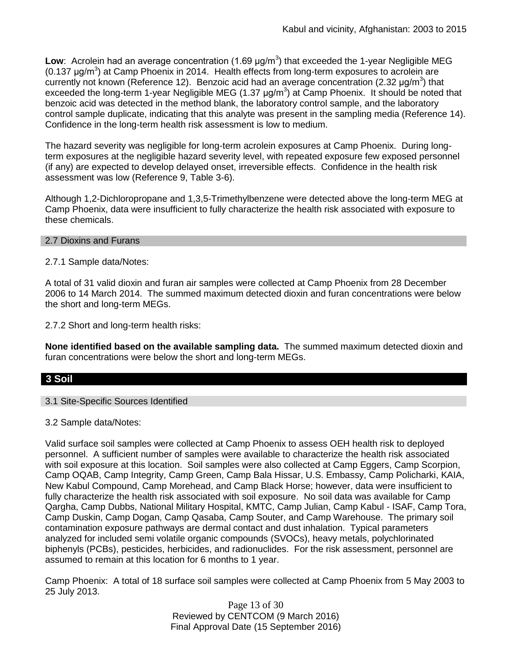Low: Acrolein had an average concentration (1.69 μg/m<sup>3</sup>) that exceeded the 1-year Negligible MEG (0.137  $\mu$ g/m<sup>3</sup>) at Camp Phoenix in 2014. Health effects from long-term exposures to acrolein are currently not known (Reference 12). Benzoic acid had an average concentration (2.32  $\mu$ g/m<sup>3</sup>) that exceeded the long-term 1-year Negligible MEG (1.37  $\mu$ g/m<sup>3</sup>) at Camp Phoenix. It should be noted that benzoic acid was detected in the method blank, the laboratory control sample, and the laboratory control sample duplicate, indicating that this analyte was present in the sampling media (Reference 14). Confidence in the long-term health risk assessment is low to medium.

The hazard severity was negligible for long-term acrolein exposures at Camp Phoenix. During longterm exposures at the negligible hazard severity level, with repeated exposure few exposed personnel (if any) are expected to develop delayed onset, irreversible effects. Confidence in the health risk assessment was low (Reference 9, Table 3-6).

Although 1,2-Dichloropropane and 1,3,5-Trimethylbenzene were detected above the long-term MEG at Camp Phoenix, data were insufficient to fully characterize the health risk associated with exposure to these chemicals.

#### 2.7 Dioxins and Furans

2.7.1 Sample data/Notes:

A total of 31 valid dioxin and furan air samples were collected at Camp Phoenix from 28 December 2006 to 14 March 2014. The summed maximum detected dioxin and furan concentrations were below the short and long-term MEGs.

2.7.2 Short and long-term health risks:

**None identified based on the available sampling data.** The summed maximum detected dioxin and furan concentrations were below the short and long-term MEGs.

## **3 Soil**

#### 3.1 Site-Specific Sources Identified

3.2 Sample data/Notes:

Valid surface soil samples were collected at Camp Phoenix to assess OEH health risk to deployed personnel. A sufficient number of samples were available to characterize the health risk associated with soil exposure at this location. Soil samples were also collected at Camp Eggers, Camp Scorpion, Camp OQAB, Camp Integrity, Camp Green, Camp Bala Hissar, U.S. Embassy, Camp Policharki, KAIA, New Kabul Compound, Camp Morehead, and Camp Black Horse; however, data were insufficient to fully characterize the health risk associated with soil exposure. No soil data was available for Camp Qargha, Camp Dubbs, National Military Hospital, KMTC, Camp Julian, Camp Kabul - ISAF, Camp Tora, Camp Duskin, Camp Dogan, Camp Qasaba, Camp Souter, and Camp Warehouse. The primary soil contamination exposure pathways are dermal contact and dust inhalation. Typical parameters analyzed for included semi volatile organic compounds (SVOCs), heavy metals, polychlorinated biphenyls (PCBs), pesticides, herbicides, and radionuclides. For the risk assessment, personnel are assumed to remain at this location for 6 months to 1 year.

Camp Phoenix: A total of 18 surface soil samples were collected at Camp Phoenix from 5 May 2003 to 25 July 2013.

> Page 13 of 30 Reviewed by CENTCOM (9 March 2016) Final Approval Date (15 September 2016)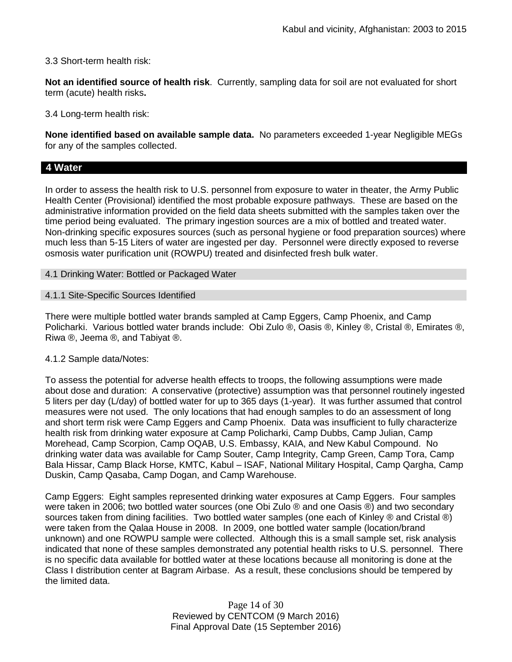3.3 Short-term health risk:

**Not an identified source of health risk**. Currently, sampling data for soil are not evaluated for short term (acute) health risks**.**

3.4 Long-term health risk:

**None identified based on available sample data.** No parameters exceeded 1-year Negligible MEGs for any of the samples collected.

## **4 Water**

In order to assess the health risk to U.S. personnel from exposure to water in theater, the Army Public Health Center (Provisional) identified the most probable exposure pathways. These are based on the administrative information provided on the field data sheets submitted with the samples taken over the time period being evaluated. The primary ingestion sources are a mix of bottled and treated water. Non-drinking specific exposures sources (such as personal hygiene or food preparation sources) where much less than 5-15 Liters of water are ingested per day. Personnel were directly exposed to reverse osmosis water purification unit (ROWPU) treated and disinfected fresh bulk water.

4.1 Drinking Water: Bottled or Packaged Water

#### 4.1.1 Site-Specific Sources Identified

There were multiple bottled water brands sampled at Camp Eggers, Camp Phoenix, and Camp Policharki. Various bottled water brands include: Obi Zulo ®, Oasis ®, Kinley ®, Cristal ®, Emirates ®, Riwa ®, Jeema ®, and Tabiyat ®.

## 4.1.2 Sample data/Notes:

To assess the potential for adverse health effects to troops, the following assumptions were made about dose and duration: A conservative (protective) assumption was that personnel routinely ingested 5 liters per day (L/day) of bottled water for up to 365 days (1-year). It was further assumed that control measures were not used. The only locations that had enough samples to do an assessment of long and short term risk were Camp Eggers and Camp Phoenix. Data was insufficient to fully characterize health risk from drinking water exposure at Camp Policharki, Camp Dubbs, Camp Julian, Camp Morehead, Camp Scorpion, Camp OQAB, U.S. Embassy, KAIA, and New Kabul Compound. No drinking water data was available for Camp Souter, Camp Integrity, Camp Green, Camp Tora, Camp Bala Hissar, Camp Black Horse, KMTC, Kabul – ISAF, National Military Hospital, Camp Qargha, Camp Duskin, Camp Qasaba, Camp Dogan, and Camp Warehouse.

Camp Eggers: Eight samples represented drinking water exposures at Camp Eggers. Four samples were taken in 2006; two bottled water sources (one Obi Zulo ® and one Oasis ®) and two secondary sources taken from dining facilities. Two bottled water samples (one each of Kinley ® and Cristal ®) were taken from the Qalaa House in 2008. In 2009, one bottled water sample (location/brand unknown) and one ROWPU sample were collected. Although this is a small sample set, risk analysis indicated that none of these samples demonstrated any potential health risks to U.S. personnel. There is no specific data available for bottled water at these locations because all monitoring is done at the Class I distribution center at Bagram Airbase. As a result, these conclusions should be tempered by the limited data.

> Page 14 of 30 Reviewed by CENTCOM (9 March 2016) Final Approval Date (15 September 2016)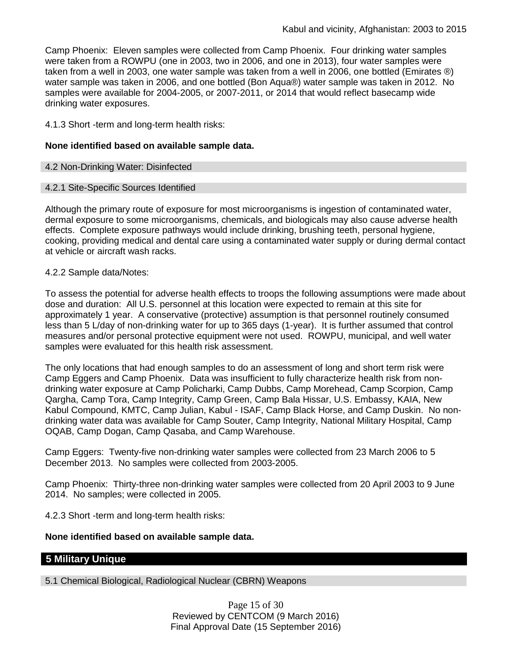Camp Phoenix: Eleven samples were collected from Camp Phoenix. Four drinking water samples were taken from a ROWPU (one in 2003, two in 2006, and one in 2013), four water samples were taken from a well in 2003, one water sample was taken from a well in 2006, one bottled (Emirates ®) water sample was taken in 2006, and one bottled (Bon Aqua®) water sample was taken in 2012. No samples were available for 2004-2005, or 2007-2011, or 2014 that would reflect basecamp wide drinking water exposures.

4.1.3 Short -term and long-term health risks:

#### **None identified based on available sample data.**

#### 4.2 Non-Drinking Water: Disinfected

#### 4.2.1 Site-Specific Sources Identified

Although the primary route of exposure for most microorganisms is ingestion of contaminated water, dermal exposure to some microorganisms, chemicals, and biologicals may also cause adverse health effects. Complete exposure pathways would include drinking, brushing teeth, personal hygiene, cooking, providing medical and dental care using a contaminated water supply or during dermal contact at vehicle or aircraft wash racks.

#### 4.2.2 Sample data/Notes:

To assess the potential for adverse health effects to troops the following assumptions were made about dose and duration: All U.S. personnel at this location were expected to remain at this site for approximately 1 year. A conservative (protective) assumption is that personnel routinely consumed less than 5 L/day of non-drinking water for up to 365 days (1-year). It is further assumed that control measures and/or personal protective equipment were not used. ROWPU, municipal, and well water samples were evaluated for this health risk assessment.

The only locations that had enough samples to do an assessment of long and short term risk were Camp Eggers and Camp Phoenix. Data was insufficient to fully characterize health risk from nondrinking water exposure at Camp Policharki, Camp Dubbs, Camp Morehead, Camp Scorpion, Camp Qargha, Camp Tora, Camp Integrity, Camp Green, Camp Bala Hissar, U.S. Embassy, KAIA, New Kabul Compound, KMTC, Camp Julian, Kabul - ISAF, Camp Black Horse, and Camp Duskin. No nondrinking water data was available for Camp Souter, Camp Integrity, National Military Hospital, Camp OQAB, Camp Dogan, Camp Qasaba, and Camp Warehouse.

Camp Eggers: Twenty-five non-drinking water samples were collected from 23 March 2006 to 5 December 2013. No samples were collected from 2003-2005.

Camp Phoenix: Thirty-three non-drinking water samples were collected from 20 April 2003 to 9 June 2014. No samples; were collected in 2005.

4.2.3 Short -term and long-term health risks:

## **None identified based on available sample data.**

## **5 Military Unique**

5.1 Chemical Biological, Radiological Nuclear (CBRN) Weapons

Page 15 of 30 Reviewed by CENTCOM (9 March 2016) Final Approval Date (15 September 2016)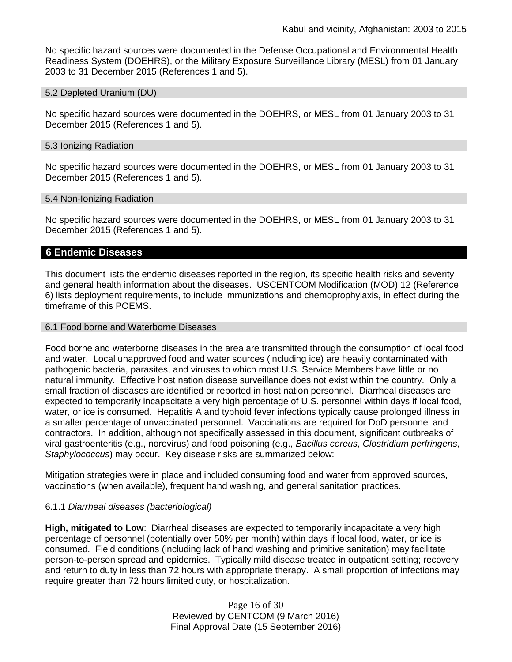No specific hazard sources were documented in the Defense Occupational and Environmental Health Readiness System (DOEHRS), or the Military Exposure Surveillance Library (MESL) from 01 January 2003 to 31 December 2015 (References 1 and 5).

#### 5.2 Depleted Uranium (DU)

No specific hazard sources were documented in the DOEHRS, or MESL from 01 January 2003 to 31 December 2015 (References 1 and 5).

#### 5.3 Ionizing Radiation

No specific hazard sources were documented in the DOEHRS, or MESL from 01 January 2003 to 31 December 2015 (References 1 and 5).

#### 5.4 Non-Ionizing Radiation

No specific hazard sources were documented in the DOEHRS, or MESL from 01 January 2003 to 31 December 2015 (References 1 and 5).

#### **6 Endemic Diseases**

This document lists the endemic diseases reported in the region, its specific health risks and severity and general health information about the diseases. USCENTCOM Modification (MOD) 12 (Reference 6) lists deployment requirements, to include immunizations and chemoprophylaxis, in effect during the timeframe of this POEMS.

#### 6.1 Food borne and Waterborne Diseases

Food borne and waterborne diseases in the area are transmitted through the consumption of local food and water. Local unapproved food and water sources (including ice) are heavily contaminated with pathogenic bacteria, parasites, and viruses to which most U.S. Service Members have little or no natural immunity. Effective host nation disease surveillance does not exist within the country. Only a small fraction of diseases are identified or reported in host nation personnel. Diarrheal diseases are expected to temporarily incapacitate a very high percentage of U.S. personnel within days if local food, water, or ice is consumed. Hepatitis A and typhoid fever infections typically cause prolonged illness in a smaller percentage of unvaccinated personnel. Vaccinations are required for DoD personnel and contractors. In addition, although not specifically assessed in this document, significant outbreaks of viral gastroenteritis (e.g., norovirus) and food poisoning (e.g., *Bacillus cereus*, *Clostridium perfringens*, *Staphylococcus*) may occur. Key disease risks are summarized below:

Mitigation strategies were in place and included consuming food and water from approved sources, vaccinations (when available), frequent hand washing, and general sanitation practices.

#### 6.1.1 *Diarrheal diseases (bacteriological)*

**High, mitigated to Low**: Diarrheal diseases are expected to temporarily incapacitate a very high percentage of personnel (potentially over 50% per month) within days if local food, water, or ice is consumed. Field conditions (including lack of hand washing and primitive sanitation) may facilitate person-to-person spread and epidemics. Typically mild disease treated in outpatient setting; recovery and return to duty in less than 72 hours with appropriate therapy. A small proportion of infections may require greater than 72 hours limited duty, or hospitalization.

> Page 16 of 30 Reviewed by CENTCOM (9 March 2016) Final Approval Date (15 September 2016)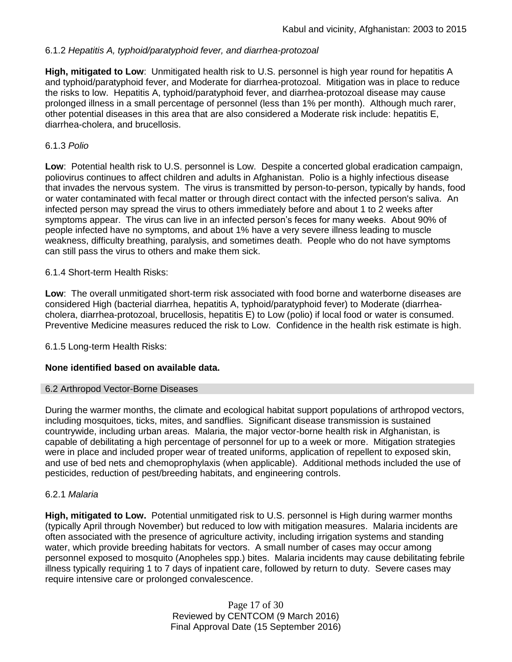## 6.1.2 *Hepatitis A, typhoid/paratyphoid fever, and diarrhea-protozoal*

**High, mitigated to Low**: Unmitigated health risk to U.S. personnel is high year round for hepatitis A and typhoid/paratyphoid fever, and Moderate for diarrhea-protozoal. Mitigation was in place to reduce the risks to low. Hepatitis A, typhoid/paratyphoid fever, and diarrhea-protozoal disease may cause prolonged illness in a small percentage of personnel (less than 1% per month). Although much rarer, other potential diseases in this area that are also considered a Moderate risk include: hepatitis E, diarrhea-cholera, and brucellosis.

#### 6.1.3 *Polio*

**Low**: Potential health risk to U.S. personnel is Low. Despite a concerted global eradication campaign, poliovirus continues to affect children and adults in Afghanistan. Polio is a highly infectious disease that invades the nervous system. The virus is transmitted by person-to-person, typically by hands, food or water contaminated with fecal matter or through direct contact with the infected person's saliva. An infected person may spread the virus to others immediately before and about 1 to 2 weeks after symptoms appear. The virus can live in an infected person's feces for many weeks. About 90% of people infected have no symptoms, and about 1% have a very severe illness leading to muscle weakness, difficulty breathing, paralysis, and sometimes death. People who do not have symptoms can still pass the virus to others and make them sick.

#### 6.1.4 Short-term Health Risks:

**Low**: The overall unmitigated short-term risk associated with food borne and waterborne diseases are considered High (bacterial diarrhea, hepatitis A, typhoid/paratyphoid fever) to Moderate (diarrheacholera, diarrhea-protozoal, brucellosis, hepatitis E) to Low (polio) if local food or water is consumed. Preventive Medicine measures reduced the risk to Low. Confidence in the health risk estimate is high.

6.1.5 Long-term Health Risks:

## **None identified based on available data.**

#### 6.2 Arthropod Vector-Borne Diseases

During the warmer months, the climate and ecological habitat support populations of arthropod vectors, including mosquitoes, ticks, mites, and sandflies. Significant disease transmission is sustained countrywide, including urban areas. Malaria, the major vector-borne health risk in Afghanistan, is capable of debilitating a high percentage of personnel for up to a week or more. Mitigation strategies were in place and included proper wear of treated uniforms, application of repellent to exposed skin, and use of bed nets and chemoprophylaxis (when applicable). Additional methods included the use of pesticides, reduction of pest/breeding habitats, and engineering controls.

#### 6.2.1 *Malaria*

**High, mitigated to Low.** Potential unmitigated risk to U.S. personnel is High during warmer months (typically April through November) but reduced to low with mitigation measures. Malaria incidents are often associated with the presence of agriculture activity, including irrigation systems and standing water, which provide breeding habitats for vectors. A small number of cases may occur among personnel exposed to mosquito (Anopheles spp.) bites. Malaria incidents may cause debilitating febrile illness typically requiring 1 to 7 days of inpatient care, followed by return to duty. Severe cases may require intensive care or prolonged convalescence.

> Page 17 of 30 Reviewed by CENTCOM (9 March 2016) Final Approval Date (15 September 2016)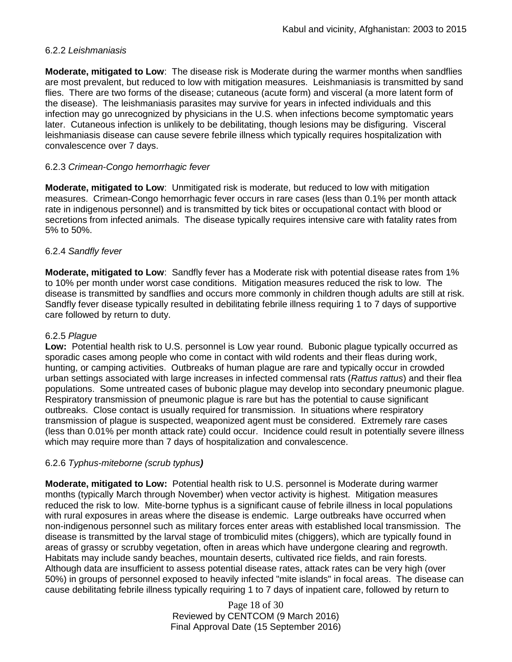## 6.2.2 *Leishmaniasis*

**Moderate, mitigated to Low**: The disease risk is Moderate during the warmer months when sandflies are most prevalent, but reduced to low with mitigation measures. Leishmaniasis is transmitted by sand flies. There are two forms of the disease; cutaneous (acute form) and visceral (a more latent form of the disease). The leishmaniasis parasites may survive for years in infected individuals and this infection may go unrecognized by physicians in the U.S. when infections become symptomatic years later. Cutaneous infection is unlikely to be debilitating, though lesions may be disfiguring. Visceral leishmaniasis disease can cause severe febrile illness which typically requires hospitalization with convalescence over 7 days.

## 6.2.3 *Crimean-Congo hemorrhagic fever*

**Moderate, mitigated to Low**: Unmitigated risk is moderate, but reduced to low with mitigation measures. Crimean-Congo hemorrhagic fever occurs in rare cases (less than 0.1% per month attack rate in indigenous personnel) and is transmitted by tick bites or occupational contact with blood or secretions from infected animals. The disease typically requires intensive care with fatality rates from 5% to 50%.

## 6.2.4 *Sandfly fever*

**Moderate, mitigated to Low**: Sandfly fever has a Moderate risk with potential disease rates from 1% to 10% per month under worst case conditions. Mitigation measures reduced the risk to low. The disease is transmitted by sandflies and occurs more commonly in children though adults are still at risk. Sandfly fever disease typically resulted in debilitating febrile illness requiring 1 to 7 days of supportive care followed by return to duty.

## 6.2.5 *Plague*

**Low:** Potential health risk to U.S. personnel is Low year round. Bubonic plague typically occurred as sporadic cases among people who come in contact with wild rodents and their fleas during work, hunting, or camping activities. Outbreaks of human plague are rare and typically occur in crowded urban settings associated with large increases in infected commensal rats (*Rattus rattus*) and their flea populations. Some untreated cases of bubonic plague may develop into secondary pneumonic plague. Respiratory transmission of pneumonic plague is rare but has the potential to cause significant outbreaks. Close contact is usually required for transmission. In situations where respiratory transmission of plague is suspected, weaponized agent must be considered. Extremely rare cases (less than 0.01% per month attack rate) could occur. Incidence could result in potentially severe illness which may require more than 7 days of hospitalization and convalescence.

## 6.2.6 *Typhus-miteborne (scrub typhus)*

**Moderate, mitigated to Low:** Potential health risk to U.S. personnel is Moderate during warmer months (typically March through November) when vector activity is highest. Mitigation measures reduced the risk to low. Mite-borne typhus is a significant cause of febrile illness in local populations with rural exposures in areas where the disease is endemic. Large outbreaks have occurred when non-indigenous personnel such as military forces enter areas with established local transmission. The disease is transmitted by the larval stage of trombiculid mites (chiggers), which are typically found in areas of grassy or scrubby vegetation, often in areas which have undergone clearing and regrowth. Habitats may include sandy beaches, mountain deserts, cultivated rice fields, and rain forests. Although data are insufficient to assess potential disease rates, attack rates can be very high (over 50%) in groups of personnel exposed to heavily infected "mite islands" in focal areas. The disease can cause debilitating febrile illness typically requiring 1 to 7 days of inpatient care, followed by return to

> Page 18 of 30 Reviewed by CENTCOM (9 March 2016) Final Approval Date (15 September 2016)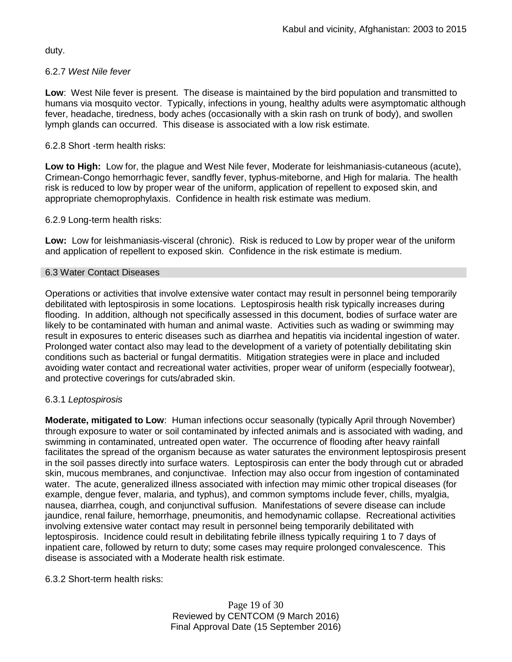duty.

## 6.2.7 *West Nile fever*

**Low**: West Nile fever is present. The disease is maintained by the bird population and transmitted to humans via mosquito vector. Typically, infections in young, healthy adults were asymptomatic although fever, headache, tiredness, body aches (occasionally with a skin rash on trunk of body), and swollen lymph glands can occurred. This disease is associated with a low risk estimate.

#### 6.2.8 Short -term health risks:

**Low to High:** Low for, the plague and West Nile fever, Moderate for leishmaniasis-cutaneous (acute), Crimean-Congo hemorrhagic fever, sandfly fever, typhus-miteborne, and High for malaria. The health risk is reduced to low by proper wear of the uniform, application of repellent to exposed skin, and appropriate chemoprophylaxis. Confidence in health risk estimate was medium.

#### 6.2.9 Long-term health risks:

**Low:** Low for leishmaniasis-visceral (chronic). Risk is reduced to Low by proper wear of the uniform and application of repellent to exposed skin. Confidence in the risk estimate is medium.

#### 6.3 Water Contact Diseases

Operations or activities that involve extensive water contact may result in personnel being temporarily debilitated with leptospirosis in some locations. Leptospirosis health risk typically increases during flooding. In addition, although not specifically assessed in this document, bodies of surface water are likely to be contaminated with human and animal waste. Activities such as wading or swimming may result in exposures to enteric diseases such as diarrhea and hepatitis via incidental ingestion of water. Prolonged water contact also may lead to the development of a variety of potentially debilitating skin conditions such as bacterial or fungal dermatitis. Mitigation strategies were in place and included avoiding water contact and recreational water activities, proper wear of uniform (especially footwear), and protective coverings for cuts/abraded skin.

## 6.3.1 *Leptospirosis*

**Moderate, mitigated to Low**: Human infections occur seasonally (typically April through November) through exposure to water or soil contaminated by infected animals and is associated with wading, and swimming in contaminated, untreated open water. The occurrence of flooding after heavy rainfall facilitates the spread of the organism because as water saturates the environment leptospirosis present in the soil passes directly into surface waters. Leptospirosis can enter the body through cut or abraded skin, mucous membranes, and conjunctivae. Infection may also occur from ingestion of contaminated water. The acute, generalized illness associated with infection may mimic other tropical diseases (for example, dengue fever, malaria, and typhus), and common symptoms include fever, chills, myalgia, nausea, diarrhea, cough, and conjunctival suffusion. Manifestations of severe disease can include jaundice, renal failure, hemorrhage, pneumonitis, and hemodynamic collapse. Recreational activities involving extensive water contact may result in personnel being temporarily debilitated with leptospirosis. Incidence could result in debilitating febrile illness typically requiring 1 to 7 days of inpatient care, followed by return to duty; some cases may require prolonged convalescence. This disease is associated with a Moderate health risk estimate.

## 6.3.2 Short-term health risks:

Page 19 of 30 Reviewed by CENTCOM (9 March 2016) Final Approval Date (15 September 2016)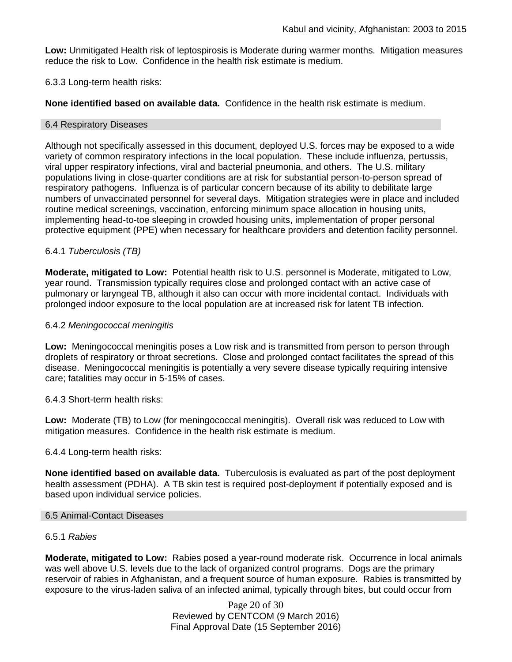**Low:** Unmitigated Health risk of leptospirosis is Moderate during warmer months. Mitigation measures reduce the risk to Low. Confidence in the health risk estimate is medium.

## 6.3.3 Long-term health risks:

**None identified based on available data.** Confidence in the health risk estimate is medium.

## 6.4 Respiratory Diseases

Although not specifically assessed in this document, deployed U.S. forces may be exposed to a wide variety of common respiratory infections in the local population. These include influenza, pertussis, viral upper respiratory infections, viral and bacterial pneumonia, and others. The U.S. military populations living in close-quarter conditions are at risk for substantial person-to-person spread of respiratory pathogens. Influenza is of particular concern because of its ability to debilitate large numbers of unvaccinated personnel for several days. Mitigation strategies were in place and included routine medical screenings, vaccination, enforcing minimum space allocation in housing units, implementing head-to-toe sleeping in crowded housing units, implementation of proper personal protective equipment (PPE) when necessary for healthcare providers and detention facility personnel.

# 6.4.1 *Tuberculosis (TB)*

**Moderate, mitigated to Low:** Potential health risk to U.S. personnel is Moderate, mitigated to Low, year round. Transmission typically requires close and prolonged contact with an active case of pulmonary or laryngeal TB, although it also can occur with more incidental contact. Individuals with prolonged indoor exposure to the local population are at increased risk for latent TB infection.

## 6.4.2 *Meningococcal meningitis*

**Low:** Meningococcal meningitis poses a Low risk and is transmitted from person to person through droplets of respiratory or throat secretions. Close and prolonged contact facilitates the spread of this disease. Meningococcal meningitis is potentially a very severe disease typically requiring intensive care; fatalities may occur in 5-15% of cases.

6.4.3 Short-term health risks:

**Low:** Moderate (TB) to Low (for meningococcal meningitis). Overall risk was reduced to Low with mitigation measures. Confidence in the health risk estimate is medium.

## 6.4.4 Long-term health risks:

**None identified based on available data.** Tuberculosis is evaluated as part of the post deployment health assessment (PDHA). A TB skin test is required post-deployment if potentially exposed and is based upon individual service policies.

## 6.5 Animal-Contact Diseases

# 6.5.1 *Rabies*

**Moderate, mitigated to Low:** Rabies posed a year-round moderate risk. Occurrence in local animals was well above U.S. levels due to the lack of organized control programs. Dogs are the primary reservoir of rabies in Afghanistan, and a frequent source of human exposure. Rabies is transmitted by exposure to the virus-laden saliva of an infected animal, typically through bites, but could occur from

> Page 20 of 30 Reviewed by CENTCOM (9 March 2016) Final Approval Date (15 September 2016)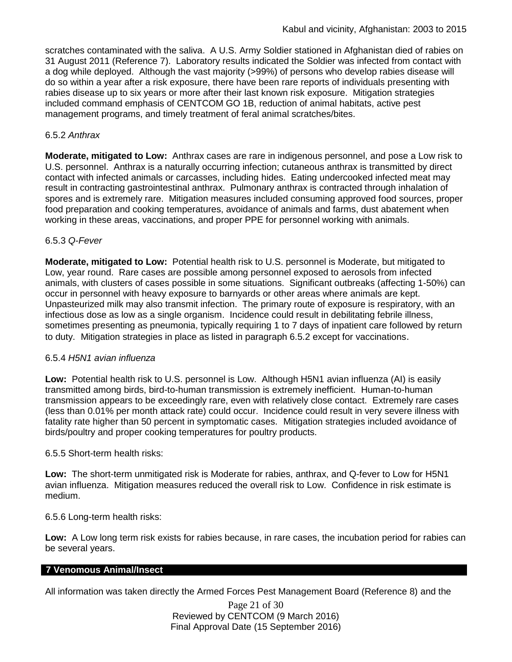scratches contaminated with the saliva. A U.S. Army Soldier stationed in Afghanistan died of rabies on 31 August 2011 (Reference 7). Laboratory results indicated the Soldier was infected from contact with a dog while deployed. Although the vast majority (>99%) of persons who develop rabies disease will do so within a year after a risk exposure, there have been rare reports of individuals presenting with rabies disease up to six years or more after their last known risk exposure. Mitigation strategies included command emphasis of CENTCOM GO 1B, reduction of animal habitats, active pest management programs, and timely treatment of feral animal scratches/bites.

## 6.5.2 *Anthrax*

**Moderate, mitigated to Low:** Anthrax cases are rare in indigenous personnel, and pose a Low risk to U.S. personnel. Anthrax is a naturally occurring infection; cutaneous anthrax is transmitted by direct contact with infected animals or carcasses, including hides. Eating undercooked infected meat may result in contracting gastrointestinal anthrax. Pulmonary anthrax is contracted through inhalation of spores and is extremely rare. Mitigation measures included consuming approved food sources, proper food preparation and cooking temperatures, avoidance of animals and farms, dust abatement when working in these areas, vaccinations, and proper PPE for personnel working with animals.

## 6.5.3 *Q-Fever*

**Moderate, mitigated to Low:** Potential health risk to U.S. personnel is Moderate, but mitigated to Low, year round. Rare cases are possible among personnel exposed to aerosols from infected animals, with clusters of cases possible in some situations. Significant outbreaks (affecting 1-50%) can occur in personnel with heavy exposure to barnyards or other areas where animals are kept. Unpasteurized milk may also transmit infection. The primary route of exposure is respiratory, with an infectious dose as low as a single organism. Incidence could result in debilitating febrile illness, sometimes presenting as pneumonia, typically requiring 1 to 7 days of inpatient care followed by return to duty. Mitigation strategies in place as listed in paragraph 6.5.2 except for vaccinations.

## 6.5.4 *H5N1 avian influenza*

**Low:** Potential health risk to U.S. personnel is Low. Although H5N1 avian influenza (AI) is easily transmitted among birds, bird-to-human transmission is extremely inefficient. Human-to-human transmission appears to be exceedingly rare, even with relatively close contact. Extremely rare cases (less than 0.01% per month attack rate) could occur. Incidence could result in very severe illness with fatality rate higher than 50 percent in symptomatic cases. Mitigation strategies included avoidance of birds/poultry and proper cooking temperatures for poultry products.

## 6.5.5 Short-term health risks:

**Low:** The short-term unmitigated risk is Moderate for rabies, anthrax, and Q-fever to Low for H5N1 avian influenza. Mitigation measures reduced the overall risk to Low.Confidence in risk estimate is medium.

## 6.5.6 Long-term health risks:

**Low:** A Low long term risk exists for rabies because, in rare cases, the incubation period for rabies can be several years.

## **7 Venomous Animal/Insect**

All information was taken directly the Armed Forces Pest Management Board (Reference 8) and the

Page 21 of 30 Reviewed by CENTCOM (9 March 2016) Final Approval Date (15 September 2016)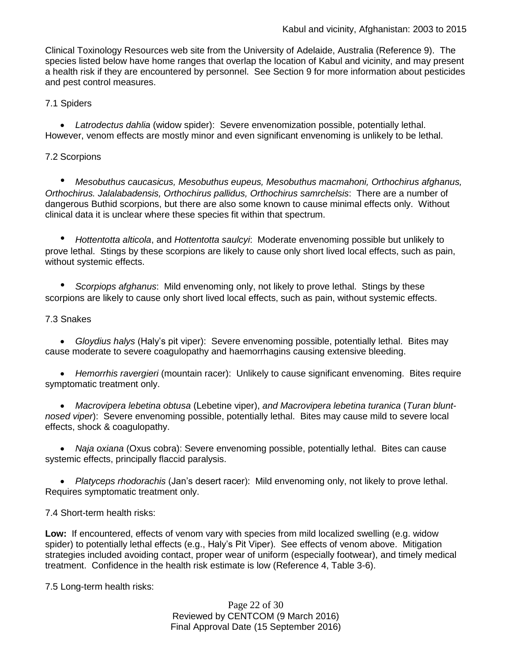Clinical Toxinology Resources web site from the University of Adelaide, Australia (Reference 9). The species listed below have home ranges that overlap the location of Kabul and vicinity, and may present a health risk if they are encountered by personnel. See Section 9 for more information about pesticides and pest control measures.

7.1 Spiders

 *Latrodectus dahlia* (widow spider): Severe envenomization possible, potentially lethal. However, venom effects are mostly minor and even significant envenoming is unlikely to be lethal.

## 7.2 Scorpions

*• Mesobuthus caucasicus, Mesobuthus eupeus, Mesobuthus macmahoni, Orthochirus afghanus, Orthochirus. Jalalabadensis, Orthochirus pallidus, Orthochirus samrchelsis*: There are a number of dangerous Buthid scorpions, but there are also some known to cause minimal effects only. Without clinical data it is unclear where these species fit within that spectrum.

*• Hottentotta alticola*, and *Hottentotta saulcyi*: Moderate envenoming possible but unlikely to prove lethal. Stings by these scorpions are likely to cause only short lived local effects, such as pain, without systemic effects.

*• Scorpiops afghanus*: Mild envenoming only, not likely to prove lethal. Stings by these scorpions are likely to cause only short lived local effects, such as pain, without systemic effects.

## 7.3 Snakes

 *Gloydius halys* (Haly's pit viper): Severe envenoming possible, potentially lethal. Bites may cause moderate to severe coagulopathy and haemorrhagins causing extensive bleeding.

 *Hemorrhis ravergieri* (mountain racer): Unlikely to cause significant envenoming. Bites require symptomatic treatment only.

 *Macrovipera lebetina obtusa* (Lebetine viper), *and Macrovipera lebetina turanica* (*Turan bluntnosed viper*): Severe envenoming possible, potentially lethal. Bites may cause mild to severe local effects, shock & coagulopathy.

 *Naja oxiana* (Oxus cobra): Severe envenoming possible, potentially lethal. Bites can cause systemic effects, principally flaccid paralysis.

 *Platyceps rhodorachis* (Jan's desert racer): Mild envenoming only, not likely to prove lethal. Requires symptomatic treatment only.

# 7.4 Short-term health risks:

**Low:** If encountered, effects of venom vary with species from mild localized swelling (e.g. widow spider) to potentially lethal effects (e.g., Haly's Pit Viper). See effects of venom above. Mitigation strategies included avoiding contact, proper wear of uniform (especially footwear), and timely medical treatment. Confidence in the health risk estimate is low (Reference 4, Table 3-6).

7.5 Long-term health risks:

Page 22 of 30 Reviewed by CENTCOM (9 March 2016) Final Approval Date (15 September 2016)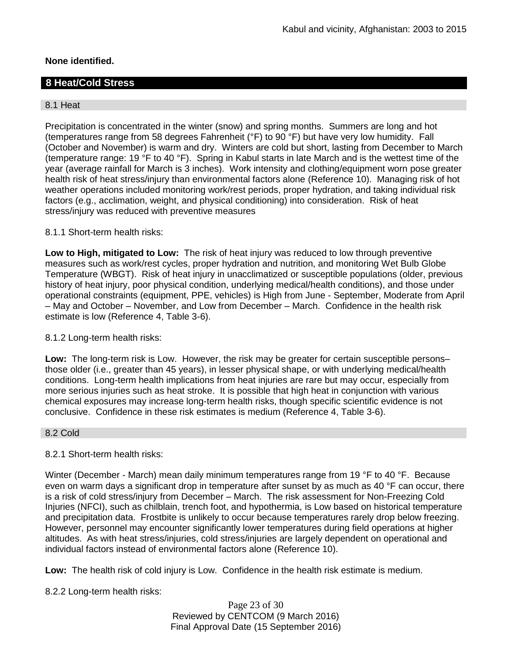## **None identified.**

# **8 Heat/Cold Stress**

#### 8.1 Heat

Precipitation is concentrated in the winter (snow) and spring months. Summers are long and hot (temperatures range from 58 degrees Fahrenheit (°F) to 90 °F) but have very low humidity. Fall (October and November) is warm and dry. Winters are cold but short, lasting from December to March (temperature range: 19 °F to 40 °F). Spring in Kabul starts in late March and is the wettest time of the year (average rainfall for March is 3 inches). Work intensity and clothing/equipment worn pose greater health risk of heat stress/injury than environmental factors alone (Reference 10). Managing risk of hot weather operations included monitoring work/rest periods, proper hydration, and taking individual risk factors (e.g., acclimation, weight, and physical conditioning) into consideration. Risk of heat stress/injury was reduced with preventive measures

#### 8.1.1 Short-term health risks:

**Low to High, mitigated to Low:** The risk of heat injury was reduced to low through preventive measures such as work/rest cycles, proper hydration and nutrition, and monitoring Wet Bulb Globe Temperature (WBGT). Risk of heat injury in unacclimatized or susceptible populations (older, previous history of heat injury, poor physical condition, underlying medical/health conditions), and those under operational constraints (equipment, PPE, vehicles) is High from June - September, Moderate from April – May and October – November, and Low from December – March. Confidence in the health risk estimate is low (Reference 4, Table 3-6).

#### 8.1.2 Long-term health risks:

**Low:** The long-term risk is Low. However, the risk may be greater for certain susceptible persons– those older (i.e., greater than 45 years), in lesser physical shape, or with underlying medical/health conditions. Long-term health implications from heat injuries are rare but may occur, especially from more serious injuries such as heat stroke. It is possible that high heat in conjunction with various chemical exposures may increase long-term health risks, though specific scientific evidence is not conclusive. Confidence in these risk estimates is medium (Reference 4, Table 3-6).

#### 8.2 Cold

## 8.2.1 Short-term health risks:

Winter (December - March) mean daily minimum temperatures range from 19 °F to 40 °F. Because even on warm days a significant drop in temperature after sunset by as much as 40 °F can occur, there is a risk of cold stress/injury from December – March. The risk assessment for Non-Freezing Cold Injuries (NFCI), such as chilblain, trench foot, and hypothermia, is Low based on historical temperature and precipitation data. Frostbite is unlikely to occur because temperatures rarely drop below freezing. However, personnel may encounter significantly lower temperatures during field operations at higher altitudes. As with heat stress/injuries, cold stress/injuries are largely dependent on operational and individual factors instead of environmental factors alone (Reference 10).

**Low:** The health risk of cold injury is Low. Confidence in the health risk estimate is medium.

8.2.2 Long-term health risks:

Page 23 of 30 Reviewed by CENTCOM (9 March 2016) Final Approval Date (15 September 2016)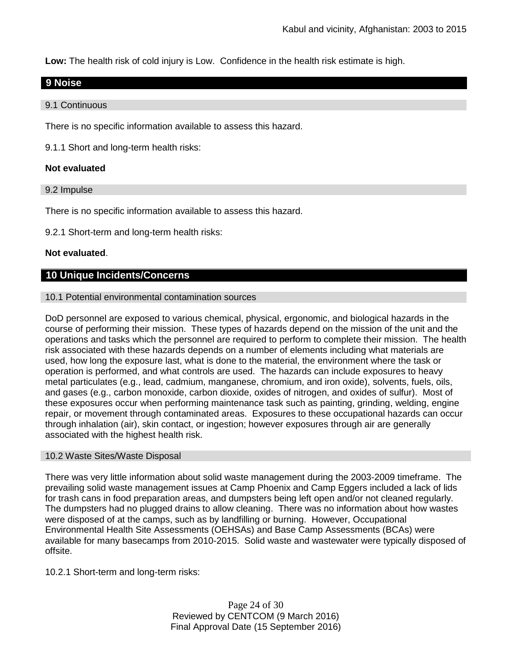**Low:** The health risk of cold injury is Low. Confidence in the health risk estimate is high.

# **9 Noise**

9.1 Continuous

There is no specific information available to assess this hazard.

9.1.1 Short and long-term health risks:

## **Not evaluated**

9.2 Impulse

There is no specific information available to assess this hazard.

9.2.1 Short-term and long-term health risks:

## **Not evaluated**.

## **10 Unique Incidents/Concerns**

#### 10.1 Potential environmental contamination sources

DoD personnel are exposed to various chemical, physical, ergonomic, and biological hazards in the course of performing their mission. These types of hazards depend on the mission of the unit and the operations and tasks which the personnel are required to perform to complete their mission. The health risk associated with these hazards depends on a number of elements including what materials are used, how long the exposure last, what is done to the material, the environment where the task or operation is performed, and what controls are used. The hazards can include exposures to heavy metal particulates (e.g., lead, cadmium, manganese, chromium, and iron oxide), solvents, fuels, oils, and gases (e.g., carbon monoxide, carbon dioxide, oxides of nitrogen, and oxides of sulfur). Most of these exposures occur when performing maintenance task such as painting, grinding, welding, engine repair, or movement through contaminated areas. Exposures to these occupational hazards can occur through inhalation (air), skin contact, or ingestion; however exposures through air are generally associated with the highest health risk.

#### 10.2 Waste Sites/Waste Disposal

There was very little information about solid waste management during the 2003-2009 timeframe. The prevailing solid waste management issues at Camp Phoenix and Camp Eggers included a lack of lids for trash cans in food preparation areas, and dumpsters being left open and/or not cleaned regularly. The dumpsters had no plugged drains to allow cleaning. There was no information about how wastes were disposed of at the camps, such as by landfilling or burning. However, Occupational Environmental Health Site Assessments (OEHSAs) and Base Camp Assessments (BCAs) were available for many basecamps from 2010-2015. Solid waste and wastewater were typically disposed of offsite.

10.2.1 Short-term and long-term risks:

Page 24 of 30 Reviewed by CENTCOM (9 March 2016) Final Approval Date (15 September 2016)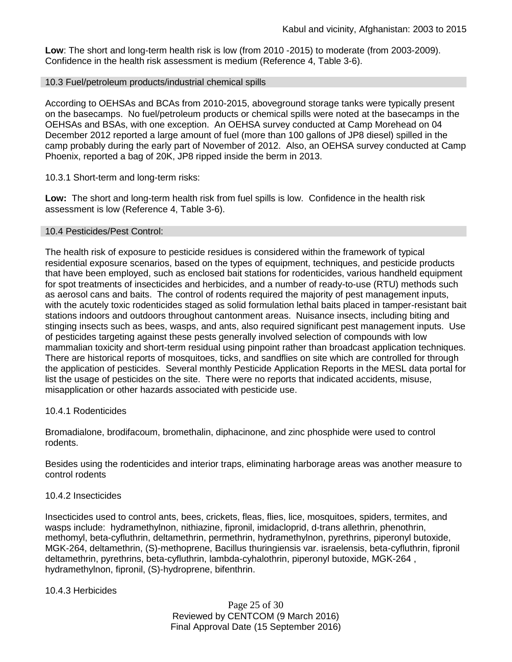**Low**: The short and long-term health risk is low (from 2010 -2015) to moderate (from 2003-2009). Confidence in the health risk assessment is medium (Reference 4, Table 3-6).

#### 10.3 Fuel/petroleum products/industrial chemical spills

According to OEHSAs and BCAs from 2010-2015, aboveground storage tanks were typically present on the basecamps. No fuel/petroleum products or chemical spills were noted at the basecamps in the OEHSAs and BSAs, with one exception. An OEHSA survey conducted at Camp Morehead on 04 December 2012 reported a large amount of fuel (more than 100 gallons of JP8 diesel) spilled in the camp probably during the early part of November of 2012. Also, an OEHSA survey conducted at Camp Phoenix, reported a bag of 20K, JP8 ripped inside the berm in 2013.

10.3.1 Short-term and long-term risks:

**Low:** The short and long-term health risk from fuel spills is low. Confidence in the health risk assessment is low (Reference 4, Table 3-6).

#### 10.4 Pesticides/Pest Control:

The health risk of exposure to pesticide residues is considered within the framework of typical residential exposure scenarios, based on the types of equipment, techniques, and pesticide products that have been employed, such as enclosed bait stations for rodenticides, various handheld equipment for spot treatments of insecticides and herbicides, and a number of ready-to-use (RTU) methods such as aerosol cans and baits. The control of rodents required the majority of pest management inputs, with the acutely toxic rodenticides staged as solid formulation lethal baits placed in tamper-resistant bait stations indoors and outdoors throughout cantonment areas. Nuisance insects, including biting and stinging insects such as bees, wasps, and ants, also required significant pest management inputs. Use of pesticides targeting against these pests generally involved selection of compounds with low mammalian toxicity and short-term residual using pinpoint rather than broadcast application techniques. There are historical reports of mosquitoes, ticks, and sandflies on site which are controlled for through the application of pesticides. Several monthly Pesticide Application Reports in the MESL data portal for list the usage of pesticides on the site. There were no reports that indicated accidents, misuse, misapplication or other hazards associated with pesticide use.

## 10.4.1 Rodenticides

Bromadialone, brodifacoum, bromethalin, diphacinone, and zinc phosphide were used to control rodents.

Besides using the rodenticides and interior traps, eliminating harborage areas was another measure to control rodents

## 10.4.2 Insecticides

Insecticides used to control ants, bees, crickets, fleas, flies, lice, mosquitoes, spiders, termites, and wasps include: hydramethylnon, nithiazine, fipronil, imidacloprid, d-trans allethrin, phenothrin, methomyl, beta-cyfluthrin, deltamethrin, permethrin, hydramethylnon, pyrethrins, piperonyl butoxide, MGK-264, deltamethrin, (S)-methoprene, Bacillus thuringiensis var. israelensis, beta-cyfluthrin, fipronil deltamethrin, pyrethrins, beta-cyfluthrin, lambda-cyhalothrin, piperonyl butoxide, MGK-264 , hydramethylnon, fipronil, (S)-hydroprene, bifenthrin.

10.4.3 Herbicides

Page 25 of 30 Reviewed by CENTCOM (9 March 2016) Final Approval Date (15 September 2016)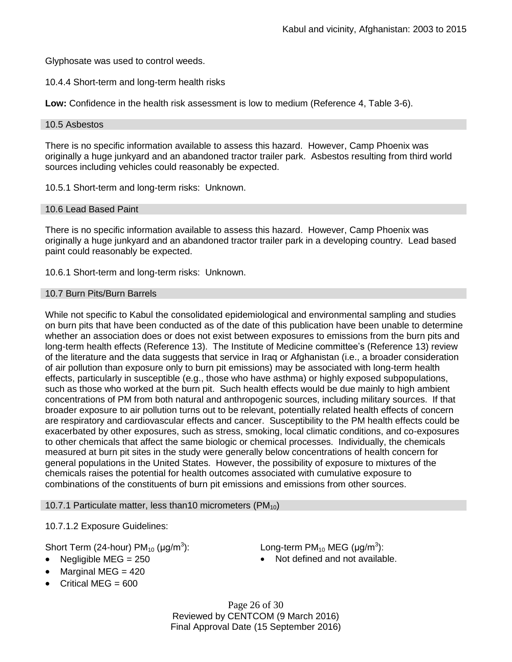Glyphosate was used to control weeds.

10.4.4 Short-term and long-term health risks

**Low:** Confidence in the health risk assessment is low to medium (Reference 4, Table 3-6).

#### 10.5 Asbestos

There is no specific information available to assess this hazard. However, Camp Phoenix was originally a huge junkyard and an abandoned tractor trailer park. Asbestos resulting from third world sources including vehicles could reasonably be expected.

10.5.1 Short-term and long-term risks: Unknown.

#### 10.6 Lead Based Paint

There is no specific information available to assess this hazard. However, Camp Phoenix was originally a huge junkyard and an abandoned tractor trailer park in a developing country. Lead based paint could reasonably be expected.

10.6.1 Short-term and long-term risks: Unknown.

#### 10.7 Burn Pits/Burn Barrels

While not specific to Kabul the consolidated epidemiological and environmental sampling and studies on burn pits that have been conducted as of the date of this publication have been unable to determine whether an association does or does not exist between exposures to emissions from the burn pits and long-term health effects (Reference 13). The Institute of Medicine committee's (Reference 13) review of the literature and the data suggests that service in Iraq or Afghanistan (i.e., a broader consideration of air pollution than exposure only to burn pit emissions) may be associated with long-term health effects, particularly in susceptible (e.g., those who have asthma) or highly exposed subpopulations, such as those who worked at the burn pit. Such health effects would be due mainly to high ambient concentrations of PM from both natural and anthropogenic sources, including military sources. If that broader exposure to air pollution turns out to be relevant, potentially related health effects of concern are respiratory and cardiovascular effects and cancer. Susceptibility to the PM health effects could be exacerbated by other exposures, such as stress, smoking, local climatic conditions, and co-exposures to other chemicals that affect the same biologic or chemical processes. Individually, the chemicals measured at burn pit sites in the study were generally below concentrations of health concern for general populations in the United States. However, the possibility of exposure to mixtures of the chemicals raises the potential for health outcomes associated with cumulative exposure to combinations of the constituents of burn pit emissions and emissions from other sources.

#### 10.7.1 Particulate matter, less than10 micrometers  $(PM_{10})$

10.7.1.2 Exposure Guidelines:

## Short Term (24-hour)  $PM_{10}$  ( $\mu$ g/m<sup>3</sup>):

- 
- Marginal MEG  $= 420$
- $\bullet$  Critical MEG = 600

): Long-term PM<sub>10</sub> MEG (µg/m<sup>3</sup>):

Negligible  $MEG = 250$  **Not defined and not available.** 

Page 26 of 30 Reviewed by CENTCOM (9 March 2016) Final Approval Date (15 September 2016)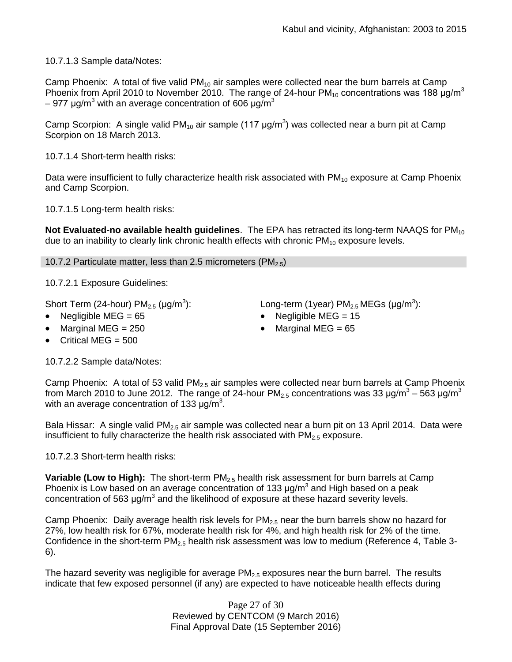10.7.1.3 Sample data/Notes:

Camp Phoenix: A total of five valid  $PM_{10}$  air samples were collected near the burn barrels at Camp Phoenix from April 2010 to November 2010. The range of 24-hour  $PM_{10}$  concentrations was 188  $\mu$ g/m<sup>3</sup> – 977 μg/m<sup>3</sup> with an average concentration of 606 μg/m<sup>3</sup>

Camp Scorpion: A single valid PM<sub>10</sub> air sample (117  $\mu$ g/m<sup>3</sup>) was collected near a burn pit at Camp Scorpion on 18 March 2013.

10.7.1.4 Short-term health risks:

Data were insufficient to fully characterize health risk associated with  $PM_{10}$  exposure at Camp Phoenix and Camp Scorpion.

10.7.1.5 Long-term health risks:

**Not Evaluated-no available health guidelines**. The EPA has retracted its long-term NAAQS for PM<sub>10</sub> due to an inability to clearly link chronic health effects with chronic  $PM_{10}$  exposure levels.

10.7.2 Particulate matter, less than 2.5 micrometers (PM $_{2.5}$ )

10.7.2.1 Exposure Guidelines:

Short Term (24-hour)  $PM_{2.5}$  ( $\mu$ g/m<sup>3</sup>):

- 
- Marginal MEG =  $250$   $\bullet$  Marginal MEG =  $65$
- Critical MEG  $= 500$

):  $\hspace{1cm}$  Long-term (1year) PM $_{2.5}$  MEGs (µg/m $^3$ ):

- Negligible MEG = 65 Negligible MEG = 15
	-

10.7.2.2 Sample data/Notes:

Camp Phoenix: A total of 53 valid  $PM<sub>2.5</sub>$  air samples were collected near burn barrels at Camp Phoenix from March 2010 to June 2012. The range of 24-hour PM<sub>2.5</sub> concentrations was 33  $\mu$ g/m $^3$  – 563  $\mu$ g/m $^3$ with an average concentration of 133  $\mu$ g/m<sup>3</sup>.

Bala Hissar: A single valid  $PM_{2.5}$  air sample was collected near a burn pit on 13 April 2014. Data were insufficient to fully characterize the health risk associated with  $PM<sub>2.5</sub>$  exposure.

10.7.2.3 Short-term health risks:

**Variable (Low to High):** The short-term PM<sub>2.5</sub> health risk assessment for burn barrels at Camp Phoenix is Low based on an average concentration of 133  $\mu$ g/m<sup>3</sup> and High based on a peak concentration of 563  $\mu$ g/m<sup>3</sup> and the likelihood of exposure at these hazard severity levels.

Camp Phoenix: Daily average health risk levels for  $PM_{2.5}$  near the burn barrels show no hazard for 27%, low health risk for 67%, moderate health risk for 4%, and high health risk for 2% of the time. Confidence in the short-term  $PM<sub>2.5</sub>$  health risk assessment was low to medium (Reference 4, Table 3-6).

The hazard severity was negligible for average  $PM_{2.5}$  exposures near the burn barrel. The results indicate that few exposed personnel (if any) are expected to have noticeable health effects during

> Page 27 of 30 Reviewed by CENTCOM (9 March 2016) Final Approval Date (15 September 2016)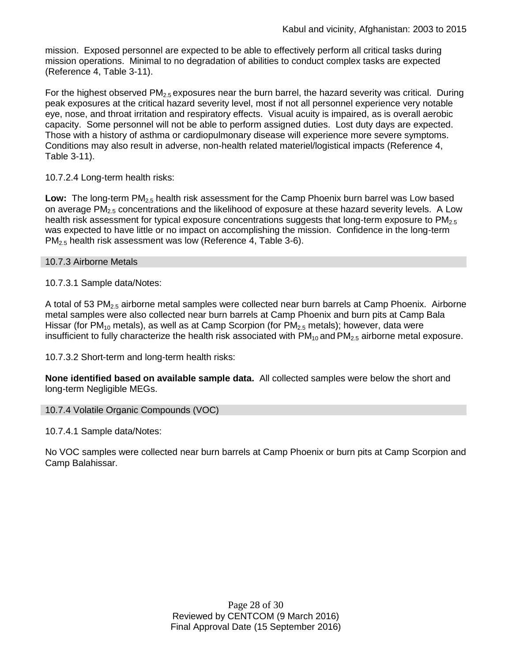mission. Exposed personnel are expected to be able to effectively perform all critical tasks during mission operations. Minimal to no degradation of abilities to conduct complex tasks are expected (Reference 4, Table 3-11).

For the highest observed  $PM_{2.5}$  exposures near the burn barrel, the hazard severity was critical. During peak exposures at the critical hazard severity level, most if not all personnel experience very notable eye, nose, and throat irritation and respiratory effects. Visual acuity is impaired, as is overall aerobic capacity. Some personnel will not be able to perform assigned duties. Lost duty days are expected. Those with a history of asthma or cardiopulmonary disease will experience more severe symptoms. Conditions may also result in adverse, non-health related materiel/logistical impacts (Reference 4, Table 3-11).

10.7.2.4 Long-term health risks:

Low: The long-term PM<sub>2.5</sub> health risk assessment for the Camp Phoenix burn barrel was Low based on average PM<sub>2.5</sub> concentrations and the likelihood of exposure at these hazard severity levels. A Low health risk assessment for typical exposure concentrations suggests that long-term exposure to  $PM<sub>2.5</sub>$ was expected to have little or no impact on accomplishing the mission. Confidence in the long-term  $PM_{2.5}$  health risk assessment was low (Reference 4, Table 3-6).

10.7.3 Airborne Metals

10.7.3.1 Sample data/Notes:

A total of 53  $PM<sub>2.5</sub>$  airborne metal samples were collected near burn barrels at Camp Phoenix. Airborne metal samples were also collected near burn barrels at Camp Phoenix and burn pits at Camp Bala Hissar (for  $PM_{10}$  metals), as well as at Camp Scorpion (for  $PM_{2.5}$  metals); however, data were insufficient to fully characterize the health risk associated with  $PM_{10}$  and  $PM_{2.5}$  airborne metal exposure.

10.7.3.2 Short-term and long-term health risks:

**None identified based on available sample data.** All collected samples were below the short and long-term Negligible MEGs.

10.7.4 Volatile Organic Compounds (VOC)

10.7.4.1 Sample data/Notes:

No VOC samples were collected near burn barrels at Camp Phoenix or burn pits at Camp Scorpion and Camp Balahissar.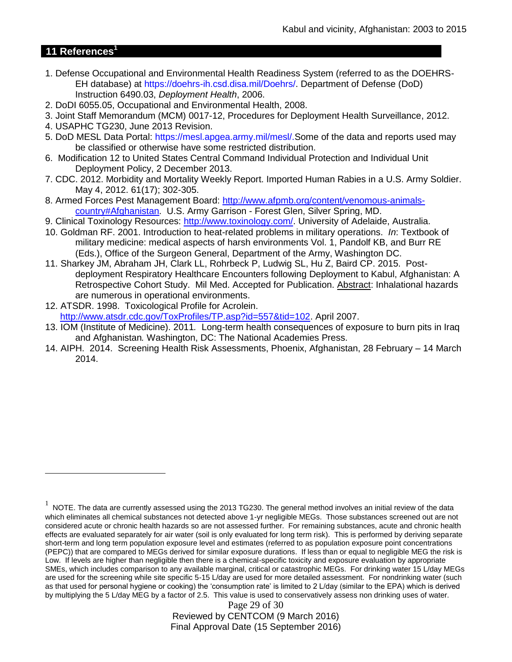# **11 References<sup>1</sup>**

 $\overline{a}$ 

- 1. Defense Occupational and Environmental Health Readiness System (referred to as the DOEHRS-EH database) at https://doehrs-ih.csd.disa.mil/Doehrs/. Department of Defense (DoD) Instruction 6490.03, *Deployment Health*, 2006.
- 2. DoDI 6055.05, Occupational and Environmental Health, 2008.
- 3. Joint Staff Memorandum (MCM) 0017-12, Procedures for Deployment Health Surveillance, 2012.
- 4. USAPHC TG230, June 2013 Revision.
- 5. DoD MESL Data Portal: https://mesl.apgea.army.mil/mesl/.Some of the data and reports used may be classified or otherwise have some restricted distribution.
- 6. Modification 12 to United States Central Command Individual Protection and Individual Unit Deployment Policy, 2 December 2013.
- 7. CDC. 2012. Morbidity and Mortality Weekly Report. Imported Human Rabies in a U.S. Army Soldier. May 4, 2012. 61(17); 302-305.
- 8. Armed Forces Pest Management Board: [http://www.afpmb.org/content/venomous-animals](http://www.afpmb.org/content/venomous-animals-country#Afghanistan)[country#Afghanistan.](http://www.afpmb.org/content/venomous-animals-country#Afghanistan) U.S. Army Garrison - Forest Glen, Silver Spring, MD.
- 9. Clinical Toxinology Resources: [http://www.toxinology.com/.](http://www.toxinology.com/) University of Adelaide, Australia.
- 10. Goldman RF. 2001. Introduction to heat-related problems in military operations. *In*: Textbook of military medicine: medical aspects of harsh environments Vol. 1, Pandolf KB, and Burr RE (Eds.), Office of the Surgeon General, Department of the Army, Washington DC.
- 11. Sharkey JM, Abraham JH, Clark LL, Rohrbeck P, Ludwig SL, Hu Z, Baird CP. 2015. Postdeployment Respiratory Healthcare Encounters following Deployment to Kabul, Afghanistan: A Retrospective Cohort Study. Mil Med. Accepted for Publication. Abstract: Inhalational hazards are numerous in operational environments.
- 12. ATSDR. 1998. Toxicological Profile for Acrolein. [http://www.atsdr.cdc.gov/ToxProfiles/TP.asp?id=557&tid=102.](http://www.atsdr.cdc.gov/ToxProfiles/TP.asp?id=557&tid=102) April 2007.
- 13. IOM (Institute of Medicine). 2011*.* Long-term health consequences of exposure to burn pits in Iraq and Afghanistan*.* Washington, DC: The National Academies Press.
- 14. AIPH. 2014. Screening Health Risk Assessments, Phoenix, Afghanistan, 28 February 14 March 2014.

Page 29 of 30 Reviewed by CENTCOM (9 March 2016) Final Approval Date (15 September 2016)

 $1$  NOTE. The data are currently assessed using the 2013 TG230. The general method involves an initial review of the data which eliminates all chemical substances not detected above 1-yr negligible MEGs. Those substances screened out are not considered acute or chronic health hazards so are not assessed further. For remaining substances, acute and chronic health effects are evaluated separately for air water (soil is only evaluated for long term risk). This is performed by deriving separate short-term and long term population exposure level and estimates (referred to as population exposure point concentrations (PEPC)) that are compared to MEGs derived for similar exposure durations. If less than or equal to negligible MEG the risk is Low. If levels are higher than negligible then there is a chemical-specific toxicity and exposure evaluation by appropriate SMEs, which includes comparison to any available marginal, critical or catastrophic MEGs. For drinking water 15 L/day MEGs are used for the screening while site specific 5-15 L/day are used for more detailed assessment. For nondrinking water (such as that used for personal hygiene or cooking) the 'consumption rate' is limited to 2 L/day (similar to the EPA) which is derived by multiplying the 5 L/day MEG by a factor of 2.5. This value is used to conservatively assess non drinking uses of water.